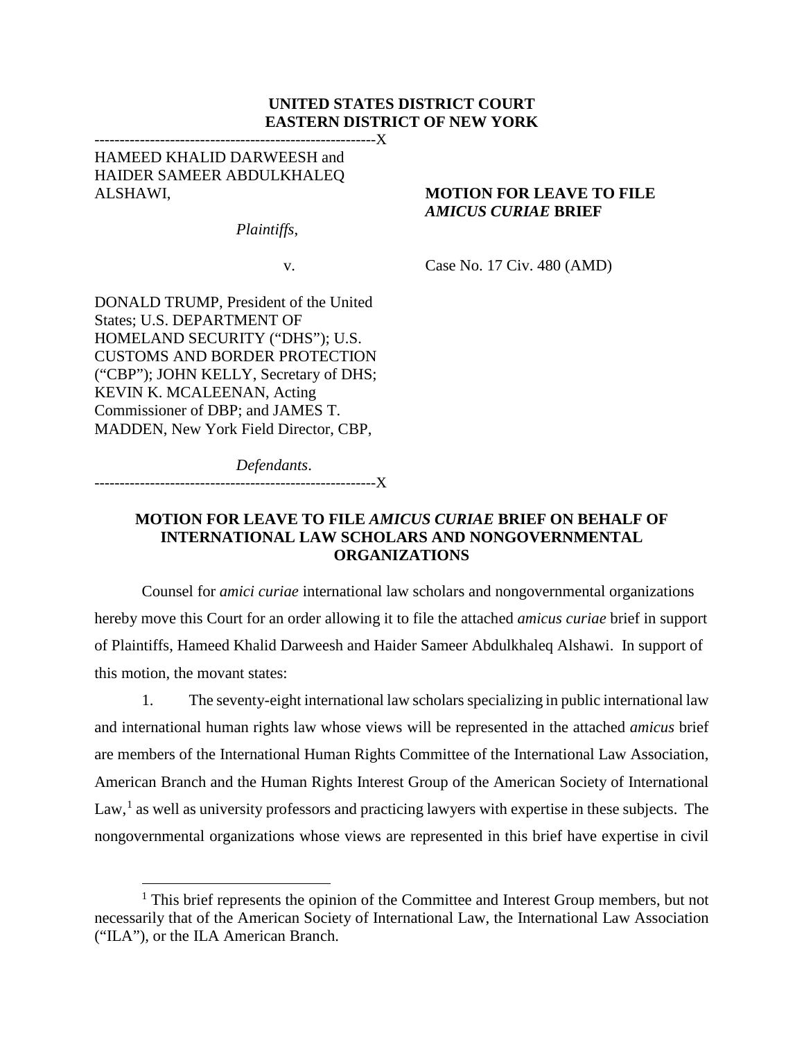### **UNITED STATES DISTRICT COURT EASTERN DISTRICT OF NEW YORK**

HAMEED KHALID DARWEESH and HAIDER SAMEER ABDULKHALEQ ALSHAWI, **MOTION FOR LEAVE TO FILE** 

*Plaintiffs*,

--------------------------------------------------------X

v. Case No. 17 Civ. 480 (AMD)

*AMICUS CURIAE* **BRIEF**

DONALD TRUMP, President of the United States; U.S. DEPARTMENT OF HOMELAND SECURITY ("DHS"); U.S. CUSTOMS AND BORDER PROTECTION ("CBP"); JOHN KELLY, Secretary of DHS; KEVIN K. MCALEENAN, Acting Commissioner of DBP; and JAMES T. MADDEN, New York Field Director, CBP,

*Defendants*.

--------------------------------------------------------X

### **MOTION FOR LEAVE TO FILE** *AMICUS CURIAE* **BRIEF ON BEHALF OF INTERNATIONAL LAW SCHOLARS AND NONGOVERNMENTAL ORGANIZATIONS**

Counsel for *amici curiae* international law scholars and nongovernmental organizations hereby move this Court for an order allowing it to file the attached *amicus curiae* brief in support of Plaintiffs, Hameed Khalid Darweesh and Haider Sameer Abdulkhaleq Alshawi. In support of this motion, the movant states:

1. The seventy-eight international law scholars specializing in public international law and international human rights law whose views will be represented in the attached *amicus* brief are members of the International Human Rights Committee of the International Law Association, American Branch and the Human Rights Interest Group of the American Society of International  $Law<sup>1</sup>$  $Law<sup>1</sup>$  $Law<sup>1</sup>$ , as well as university professors and practicing lawyers with expertise in these subjects. The nongovernmental organizations whose views are represented in this brief have expertise in civil

<span id="page-0-0"></span> $<sup>1</sup>$  This brief represents the opinion of the Committee and Interest Group members, but not</sup> necessarily that of the American Society of International Law, the International Law Association ("ILA"), or the ILA American Branch.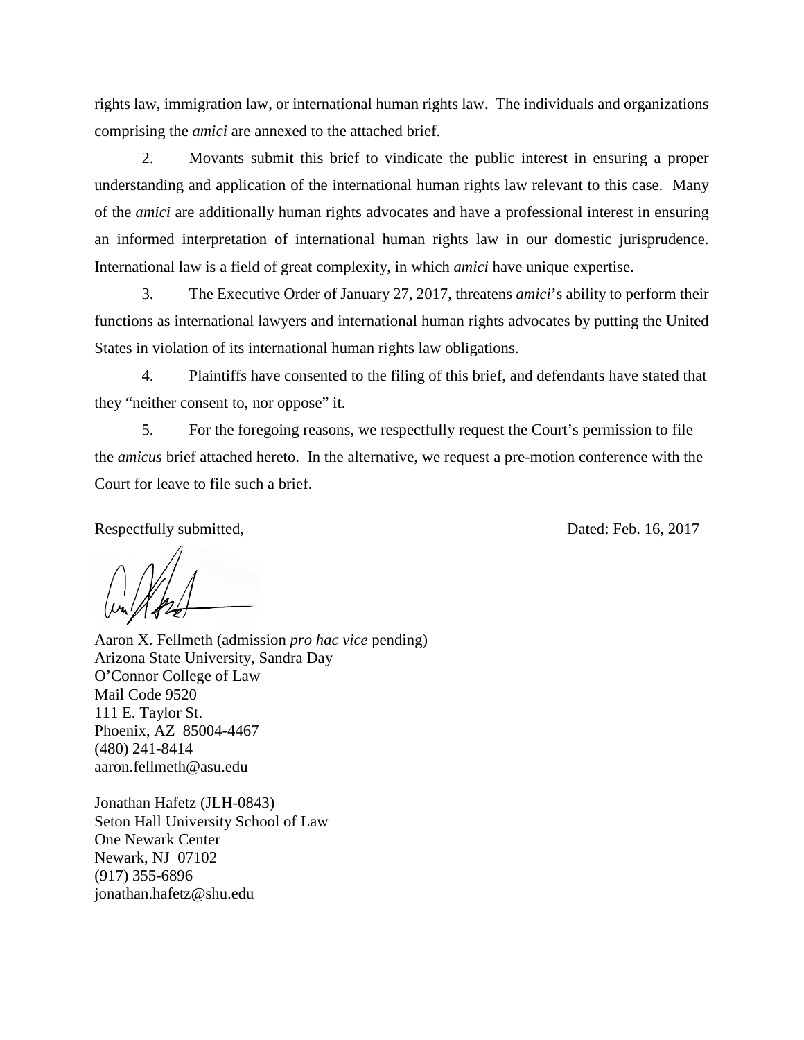rights law, immigration law, or international human rights law. The individuals and organizations comprising the *amici* are annexed to the attached brief.

2. Movants submit this brief to vindicate the public interest in ensuring a proper understanding and application of the international human rights law relevant to this case. Many of the *amici* are additionally human rights advocates and have a professional interest in ensuring an informed interpretation of international human rights law in our domestic jurisprudence. International law is a field of great complexity, in which *amici* have unique expertise.

3. The Executive Order of January 27, 2017, threatens *amici*'s ability to perform their functions as international lawyers and international human rights advocates by putting the United States in violation of its international human rights law obligations.

4. Plaintiffs have consented to the filing of this brief, and defendants have stated that they "neither consent to, nor oppose" it.

5. For the foregoing reasons, we respectfully request the Court's permission to file the *amicus* brief attached hereto. In the alternative, we request a pre-motion conference with the Court for leave to file such a brief.

Respectfully submitted,  $Dated: Feb. 16, 2017$ 

Aaron X. Fellmeth (admission *pro hac vice* pending) Arizona State University, Sandra Day O'Connor College of Law Mail Code 9520 111 E. Taylor St. Phoenix, AZ 85004-4467 (480) 241-8414 aaron.fellmeth@asu.edu

Jonathan Hafetz (JLH-0843) Seton Hall University School of Law One Newark Center Newark, NJ 07102 (917) 355-6896 jonathan.hafetz@shu.edu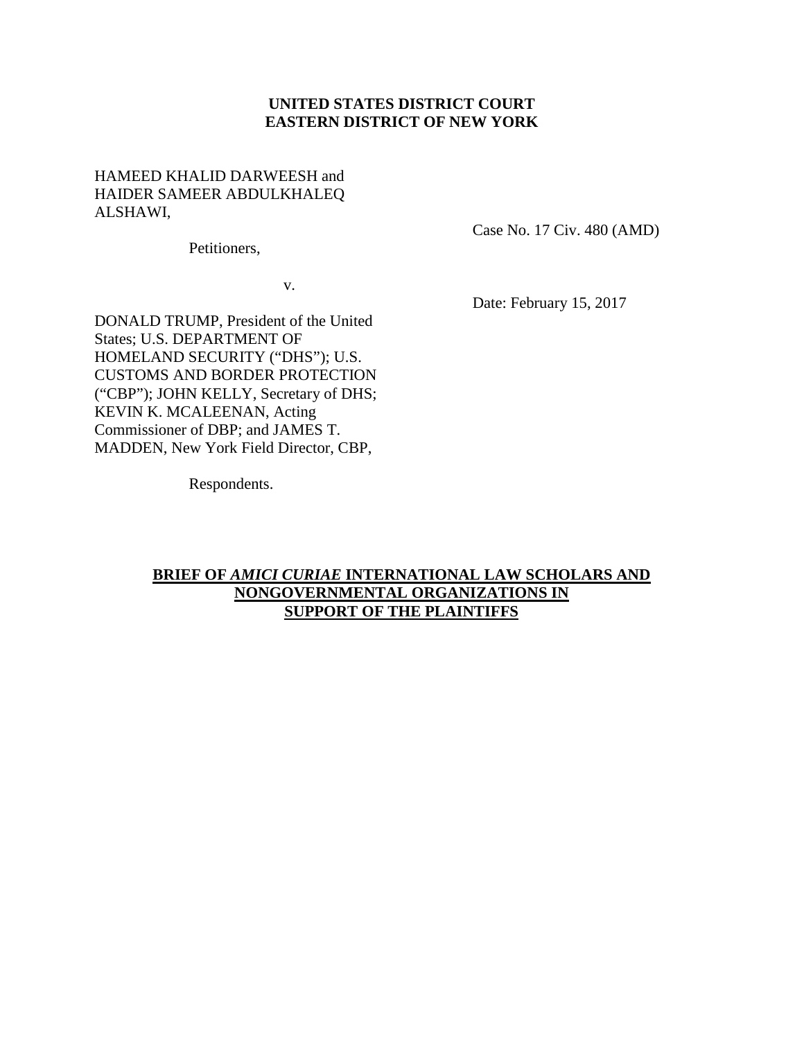### **UNITED STATES DISTRICT COURT EASTERN DISTRICT OF NEW YORK**

### HAMEED KHALID DARWEESH and HAIDER SAMEER ABDULKHALEQ ALSHAWI,

Case No. 17 Civ. 480 (AMD)

Petitioners,

v.

Date: February 15, 2017

DONALD TRUMP, President of the United States; U.S. DEPARTMENT OF HOMELAND SECURITY ("DHS"); U.S. CUSTOMS AND BORDER PROTECTION ("CBP"); JOHN KELLY, Secretary of DHS; KEVIN K. MCALEENAN, Acting Commissioner of DBP; and JAMES T. MADDEN, New York Field Director, CBP,

Respondents.

### **BRIEF OF** *AMICI CURIAE* **INTERNATIONAL LAW SCHOLARS AND NONGOVERNMENTAL ORGANIZATIONS IN SUPPORT OF THE PLAINTIFFS**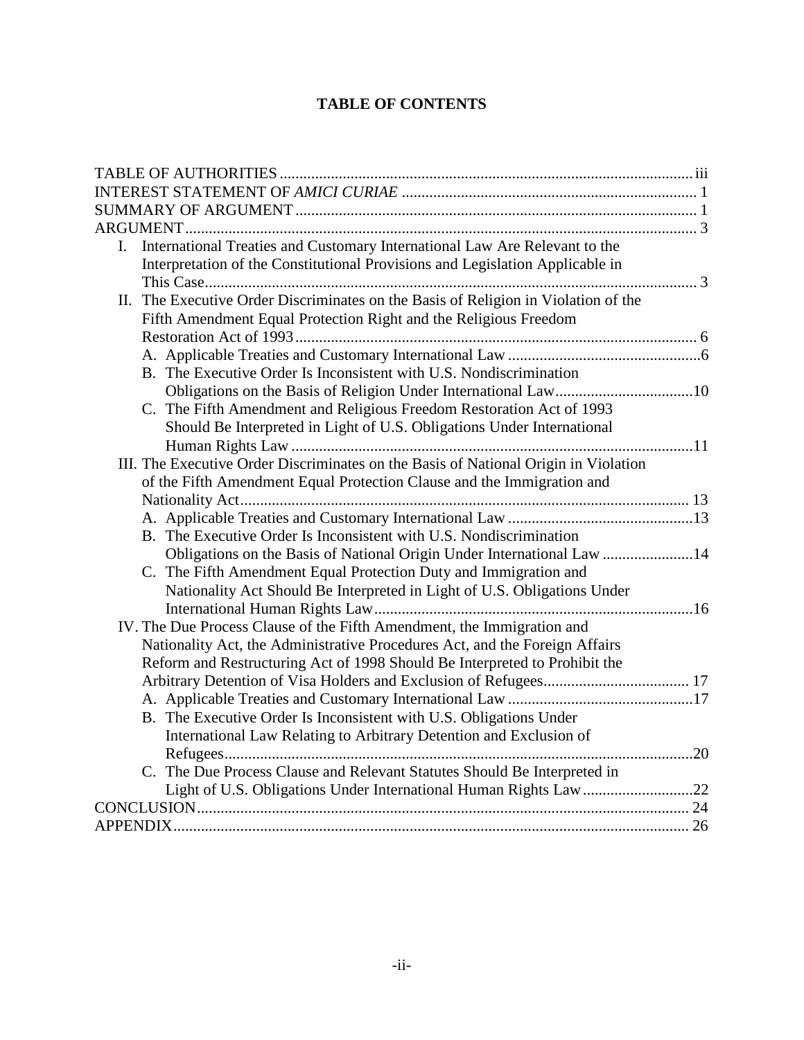# **TABLE OF CONTENTS**

| $\mathbf{I}$ . | International Treaties and Customary International Law Are Relevant to the          |  |
|----------------|-------------------------------------------------------------------------------------|--|
|                | Interpretation of the Constitutional Provisions and Legislation Applicable in       |  |
|                |                                                                                     |  |
|                | II. The Executive Order Discriminates on the Basis of Religion in Violation of the  |  |
|                | Fifth Amendment Equal Protection Right and the Religious Freedom                    |  |
|                |                                                                                     |  |
|                |                                                                                     |  |
|                | B. The Executive Order Is Inconsistent with U.S. Nondiscrimination                  |  |
|                |                                                                                     |  |
|                | C. The Fifth Amendment and Religious Freedom Restoration Act of 1993                |  |
|                | Should Be Interpreted in Light of U.S. Obligations Under International              |  |
|                |                                                                                     |  |
|                | III. The Executive Order Discriminates on the Basis of National Origin in Violation |  |
|                | of the Fifth Amendment Equal Protection Clause and the Immigration and              |  |
|                |                                                                                     |  |
|                |                                                                                     |  |
|                | B. The Executive Order Is Inconsistent with U.S. Nondiscrimination                  |  |
|                | Obligations on the Basis of National Origin Under International Law 14              |  |
|                | C. The Fifth Amendment Equal Protection Duty and Immigration and                    |  |
|                | Nationality Act Should Be Interpreted in Light of U.S. Obligations Under            |  |
|                |                                                                                     |  |
|                | IV. The Due Process Clause of the Fifth Amendment, the Immigration and              |  |
|                | Nationality Act, the Administrative Procedures Act, and the Foreign Affairs         |  |
|                | Reform and Restructuring Act of 1998 Should Be Interpreted to Prohibit the          |  |
|                |                                                                                     |  |
|                |                                                                                     |  |
|                | B. The Executive Order Is Inconsistent with U.S. Obligations Under                  |  |
|                | International Law Relating to Arbitrary Detention and Exclusion of                  |  |
|                |                                                                                     |  |
|                | C. The Due Process Clause and Relevant Statutes Should Be Interpreted in            |  |
|                | Light of U.S. Obligations Under International Human Rights Law 22                   |  |
|                |                                                                                     |  |
|                |                                                                                     |  |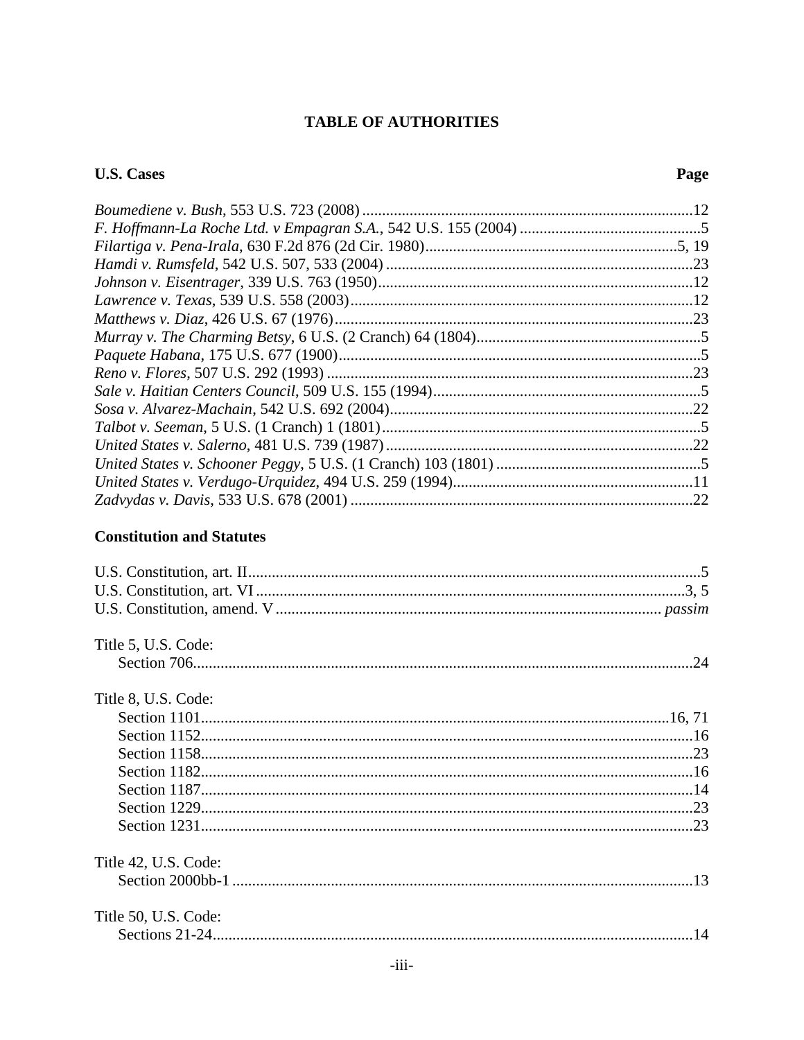# **TABLE OF AUTHORITIES**

# <span id="page-4-0"></span>**U.S. Cases**

### Page

| .22 |
|-----|
|     |

### **Constitution and Statutes**

| Title 5, U.S. Code:  |
|----------------------|
|                      |
| Title 8, U.S. Code:  |
|                      |
|                      |
|                      |
|                      |
|                      |
|                      |
|                      |
| Title 42, U.S. Code: |
|                      |
| Title 50, U.S. Code: |
|                      |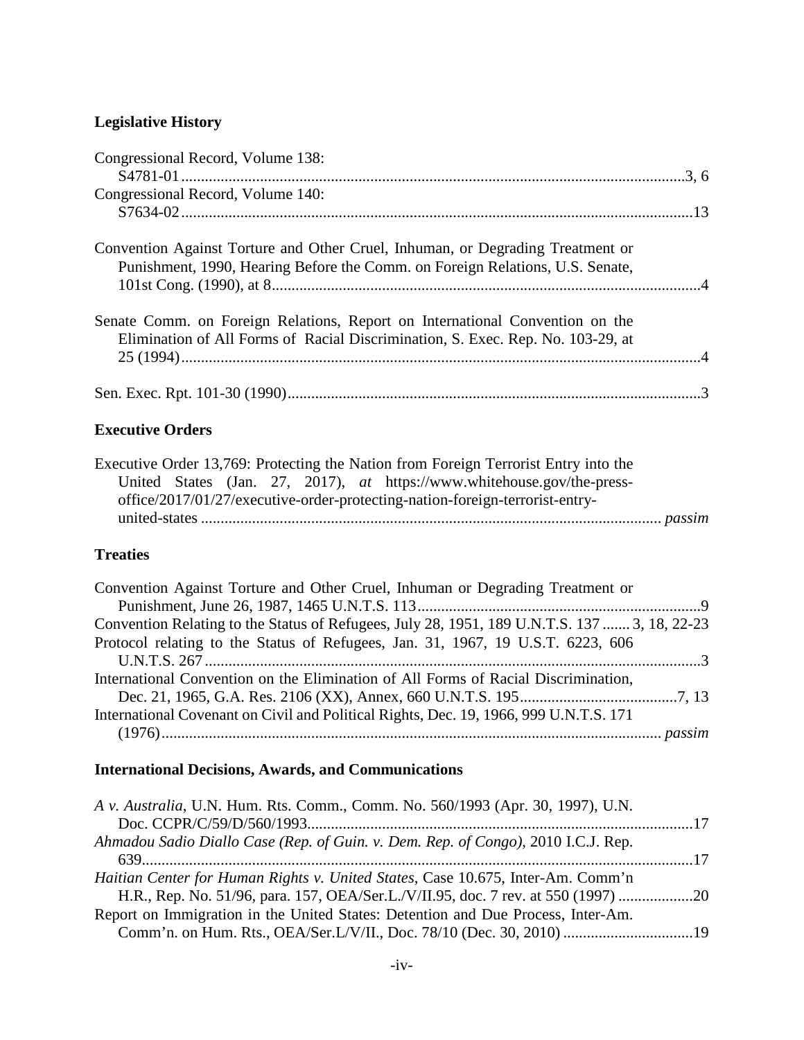# **Legislative History**

| Congressional Record, Volume 138:                                                                                                                                                                                                              |
|------------------------------------------------------------------------------------------------------------------------------------------------------------------------------------------------------------------------------------------------|
| Congressional Record, Volume 140:                                                                                                                                                                                                              |
| Convention Against Torture and Other Cruel, Inhuman, or Degrading Treatment or<br>Punishment, 1990, Hearing Before the Comm. on Foreign Relations, U.S. Senate,                                                                                |
| Senate Comm. on Foreign Relations, Report on International Convention on the<br>Elimination of All Forms of Racial Discrimination, S. Exec. Rep. No. 103-29, at                                                                                |
|                                                                                                                                                                                                                                                |
| <b>Executive Orders</b>                                                                                                                                                                                                                        |
| Executive Order 13,769: Protecting the Nation from Foreign Terrorist Entry into the<br>United States (Jan. 27, 2017), at https://www.whitehouse.gov/the-press-<br>office/2017/01/27/executive-order-protecting-nation-foreign-terrorist-entry- |

### **Treaties**

| Convention Against Torture and Other Cruel, Inhuman or Degrading Treatment or                |  |
|----------------------------------------------------------------------------------------------|--|
|                                                                                              |  |
| Convention Relating to the Status of Refugees, July 28, 1951, 189 U.N.T.S. 137  3, 18, 22-23 |  |
| Protocol relating to the Status of Refugees, Jan. 31, 1967, 19 U.S.T. 6223, 606              |  |
|                                                                                              |  |
| International Convention on the Elimination of All Forms of Racial Discrimination,           |  |
|                                                                                              |  |
| International Covenant on Civil and Political Rights, Dec. 19, 1966, 999 U.N.T.S. 171        |  |
|                                                                                              |  |

# **International Decisions, Awards, and Communications**

| A v. Australia, U.N. Hum. Rts. Comm., Comm. No. 560/1993 (Apr. 30, 1997), U.N.    |  |
|-----------------------------------------------------------------------------------|--|
|                                                                                   |  |
| Ahmadou Sadio Diallo Case (Rep. of Guin. v. Dem. Rep. of Congo), 2010 I.C.J. Rep. |  |
| Haitian Center for Human Rights v. United States, Case 10.675, Inter-Am. Comm'n   |  |
| H.R., Rep. No. 51/96, para. 157, OEA/Ser.L./V/II.95, doc. 7 rev. at 550 (1997)    |  |
| Report on Immigration in the United States: Detention and Due Process, Inter-Am.  |  |
|                                                                                   |  |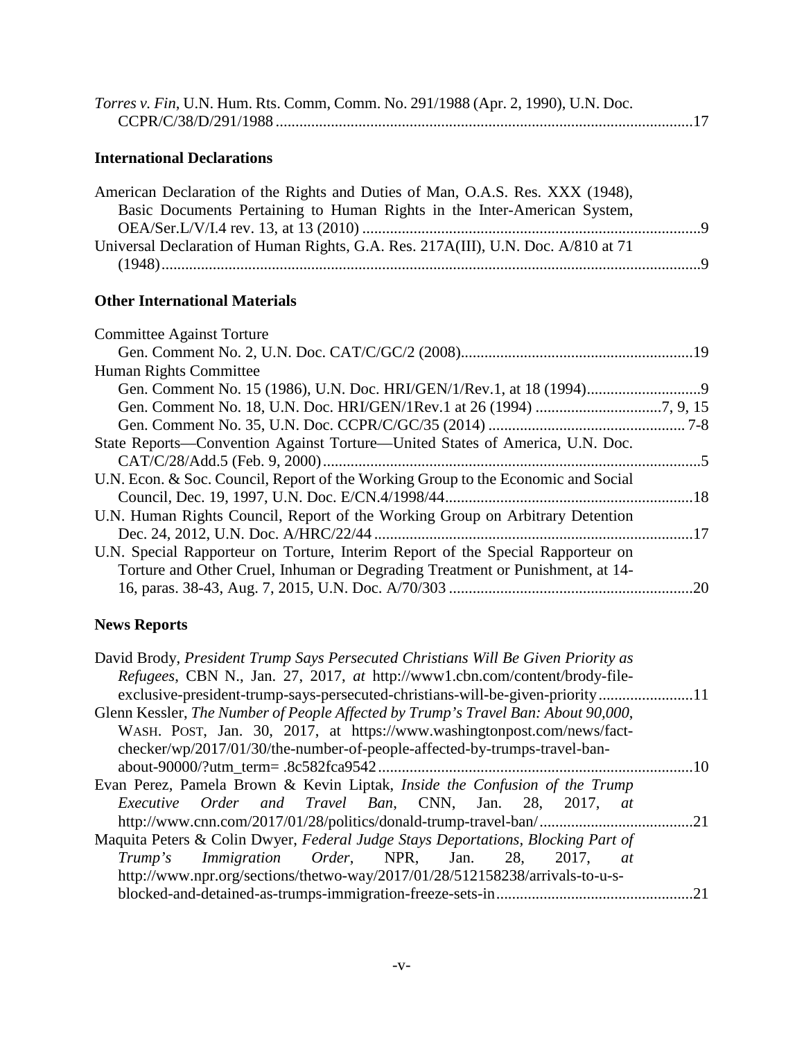| Torres v. Fin, U.N. Hum. Rts. Comm, Comm. No. 291/1988 (Apr. 2, 1990), U.N. Doc. |  |
|----------------------------------------------------------------------------------|--|
|                                                                                  |  |

### **International Declarations**

| American Declaration of the Rights and Duties of Man, O.A.S. Res. XXX (1948),     |  |
|-----------------------------------------------------------------------------------|--|
| Basic Documents Pertaining to Human Rights in the Inter-American System,          |  |
|                                                                                   |  |
| Universal Declaration of Human Rights, G.A. Res. 217A(III), U.N. Doc. A/810 at 71 |  |
|                                                                                   |  |

### **Other International Materials**

| <b>Committee Against Torture</b>                                                  |  |
|-----------------------------------------------------------------------------------|--|
|                                                                                   |  |
| Human Rights Committee                                                            |  |
|                                                                                   |  |
|                                                                                   |  |
|                                                                                   |  |
| State Reports—Convention Against Torture—United States of America, U.N. Doc.      |  |
|                                                                                   |  |
| U.N. Econ. & Soc. Council, Report of the Working Group to the Economic and Social |  |
|                                                                                   |  |
| U.N. Human Rights Council, Report of the Working Group on Arbitrary Detention     |  |
|                                                                                   |  |
| U.N. Special Rapporteur on Torture, Interim Report of the Special Rapporteur on   |  |
| Torture and Other Cruel, Inhuman or Degrading Treatment or Punishment, at 14-     |  |
|                                                                                   |  |
|                                                                                   |  |

# **News Reports**

| David Brody, President Trump Says Persecuted Christians Will Be Given Priority as |             |
|-----------------------------------------------------------------------------------|-------------|
| Refugees, CBN N., Jan. 27, 2017, at http://www1.cbn.com/content/brody-file-       |             |
| exclusive-president-trump-says-persecuted-christians-will-be-given-priority11     |             |
| Glenn Kessler, The Number of People Affected by Trump's Travel Ban: About 90,000, |             |
| WASH. POST, Jan. 30, 2017, at https://www.washingtonpost.com/news/fact-           |             |
| checker/wp/2017/01/30/the-number-of-people-affected-by-trumps-travel-ban-         |             |
|                                                                                   | $\sqrt{10}$ |
| Evan Perez, Pamela Brown & Kevin Liptak, Inside the Confusion of the Trump        |             |
| Executive Order and Travel Ban, CNN, Jan. 28, 2017, at                            |             |
|                                                                                   |             |
| Maquita Peters & Colin Dwyer, Federal Judge Stays Deportations, Blocking Part of  |             |
| <i>Trump's Immigration Order</i> , NPR, Jan. 28,<br>2017,<br>at                   |             |
| http://www.npr.org/sections/thetwo-way/2017/01/28/512158238/arrivals-to-u-s-      |             |
|                                                                                   | .21         |
|                                                                                   |             |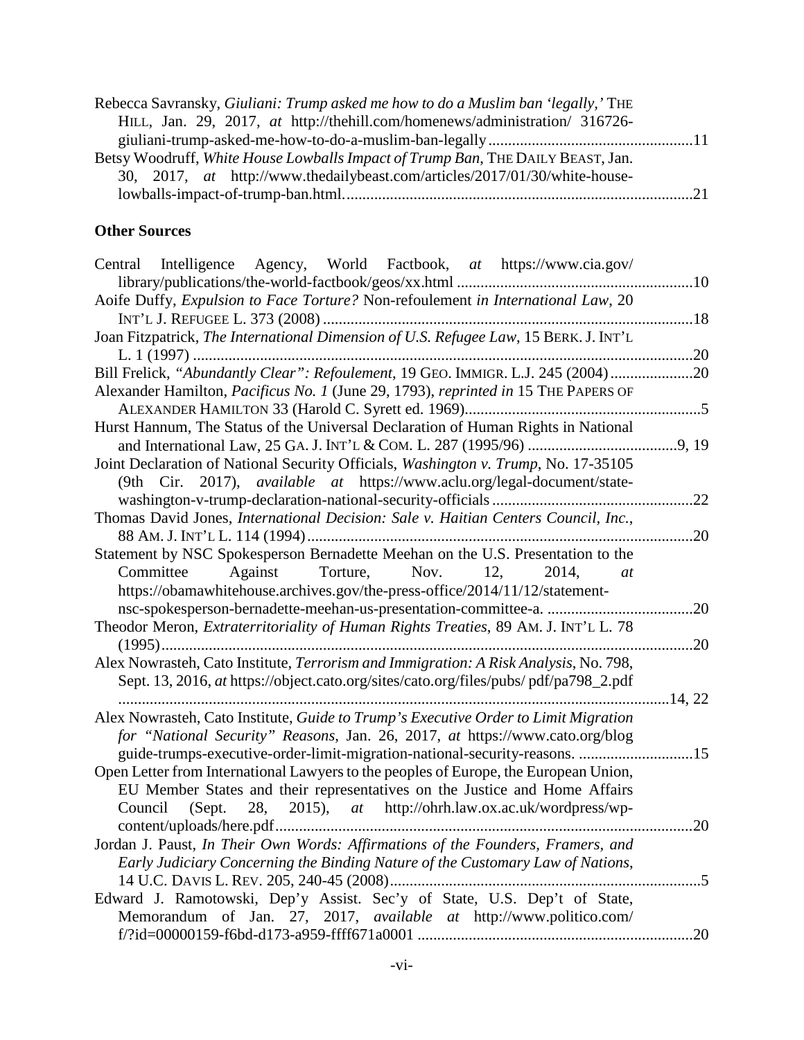| Rebecca Savransky, Giuliani: Trump asked me how to do a Muslim ban 'legally,' THE |  |
|-----------------------------------------------------------------------------------|--|
| HILL, Jan. 29, 2017, at http://thehill.com/homenews/administration/ 316726-       |  |
|                                                                                   |  |
| Betsy Woodruff, White House Lowballs Impact of Trump Ban, THE DAILY BEAST, Jan.   |  |
| 30, 2017, at http://www.thedailybeast.com/articles/2017/01/30/white-house-        |  |
|                                                                                   |  |

### **Other Sources**

| Central Intelligence Agency, World Factbook, at https://www.cia.gov/                 |     |
|--------------------------------------------------------------------------------------|-----|
|                                                                                      |     |
| Aoife Duffy, Expulsion to Face Torture? Non-refoulement in International Law, 20     |     |
|                                                                                      |     |
| Joan Fitzpatrick, The International Dimension of U.S. Refugee Law, 15 BERK. J. INT'L |     |
|                                                                                      |     |
| Bill Frelick, "Abundantly Clear": Refoulement, 19 GEO. IMMIGR. L.J. 245 (2004) 20    |     |
| Alexander Hamilton, Pacificus No. 1 (June 29, 1793), reprinted in 15 THE PAPERS OF   |     |
|                                                                                      |     |
| Hurst Hannum, The Status of the Universal Declaration of Human Rights in National    |     |
|                                                                                      |     |
| Joint Declaration of National Security Officials, Washington v. Trump, No. 17-35105  |     |
| (9th Cir. 2017), available at https://www.aclu.org/legal-document/state-             |     |
|                                                                                      |     |
| Thomas David Jones, International Decision: Sale v. Haitian Centers Council, Inc.,   |     |
|                                                                                      |     |
| Statement by NSC Spokesperson Bernadette Meehan on the U.S. Presentation to the      |     |
| Committee Against Torture, Nov. 12,<br>2014,<br><i>at</i>                            |     |
| https://obamawhitehouse.archives.gov/the-press-office/2014/11/12/statement-          |     |
|                                                                                      |     |
| Theodor Meron, Extraterritoriality of Human Rights Treaties, 89 AM. J. INT'L L. 78   |     |
|                                                                                      |     |
| Alex Nowrasteh, Cato Institute, Terrorism and Immigration: A Risk Analysis, No. 798, |     |
| Sept. 13, 2016, at https://object.cato.org/sites/cato.org/files/pubs/pdf/pa798_2.pdf |     |
|                                                                                      |     |
| Alex Nowrasteh, Cato Institute, Guide to Trump's Executive Order to Limit Migration  |     |
| for "National Security" Reasons, Jan. 26, 2017, at https://www.cato.org/blog         |     |
| guide-trumps-executive-order-limit-migration-national-security-reasons. 15           |     |
| Open Letter from International Lawyers to the peoples of Europe, the European Union, |     |
| EU Member States and their representatives on the Justice and Home Affairs           |     |
| Council (Sept. 28, 2015), at http://ohrh.law.ox.ac.uk/wordpress/wp-                  |     |
|                                                                                      | .20 |
| Jordan J. Paust, In Their Own Words: Affirmations of the Founders, Framers, and      |     |
| Early Judiciary Concerning the Binding Nature of the Customary Law of Nations,       |     |
|                                                                                      | .5  |
| Edward J. Ramotowski, Dep'y Assist. Sec'y of State, U.S. Dep't of State,             |     |
| Memorandum of Jan. 27, 2017, available at http://www.politico.com/                   |     |
|                                                                                      |     |
|                                                                                      | .20 |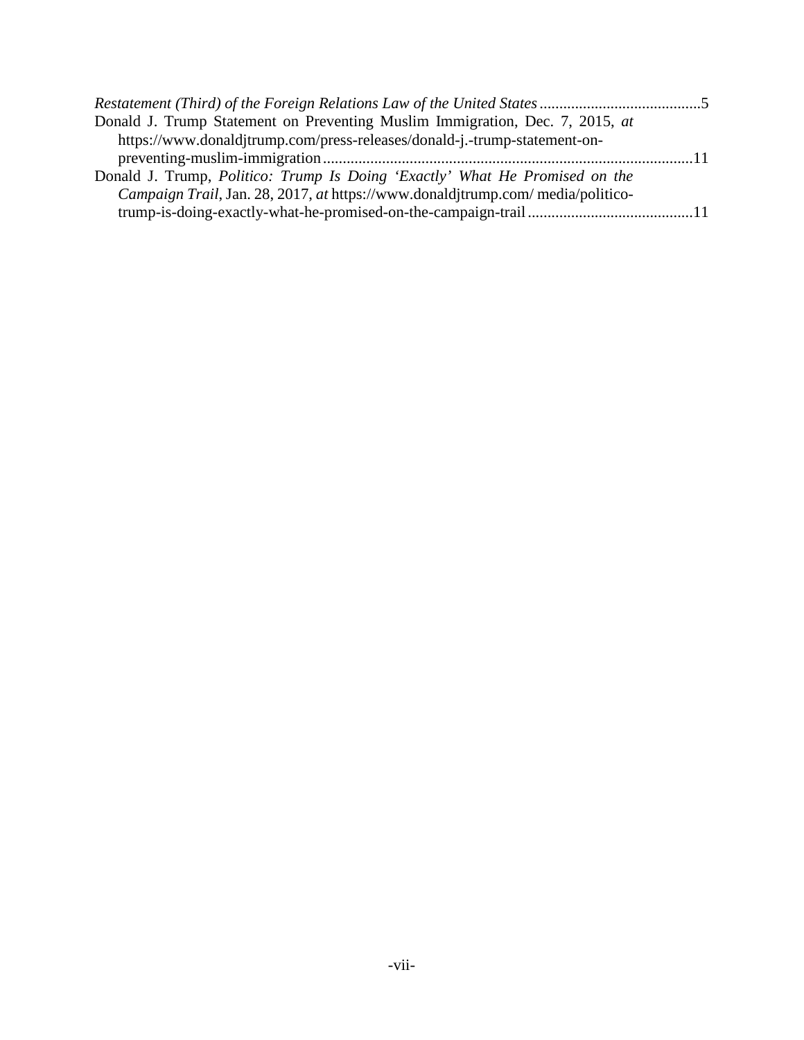| Donald J. Trump Statement on Preventing Muslim Immigration, Dec. 7, 2015, at   |  |
|--------------------------------------------------------------------------------|--|
| https://www.donaldjtrump.com/press-releases/donald-j.-trump-statement-on-      |  |
|                                                                                |  |
| Donald J. Trump, Politico: Trump Is Doing 'Exactly' What He Promised on the    |  |
| Campaign Trail, Jan. 28, 2017, at https://www.donaldjtrump.com/media/politico- |  |
|                                                                                |  |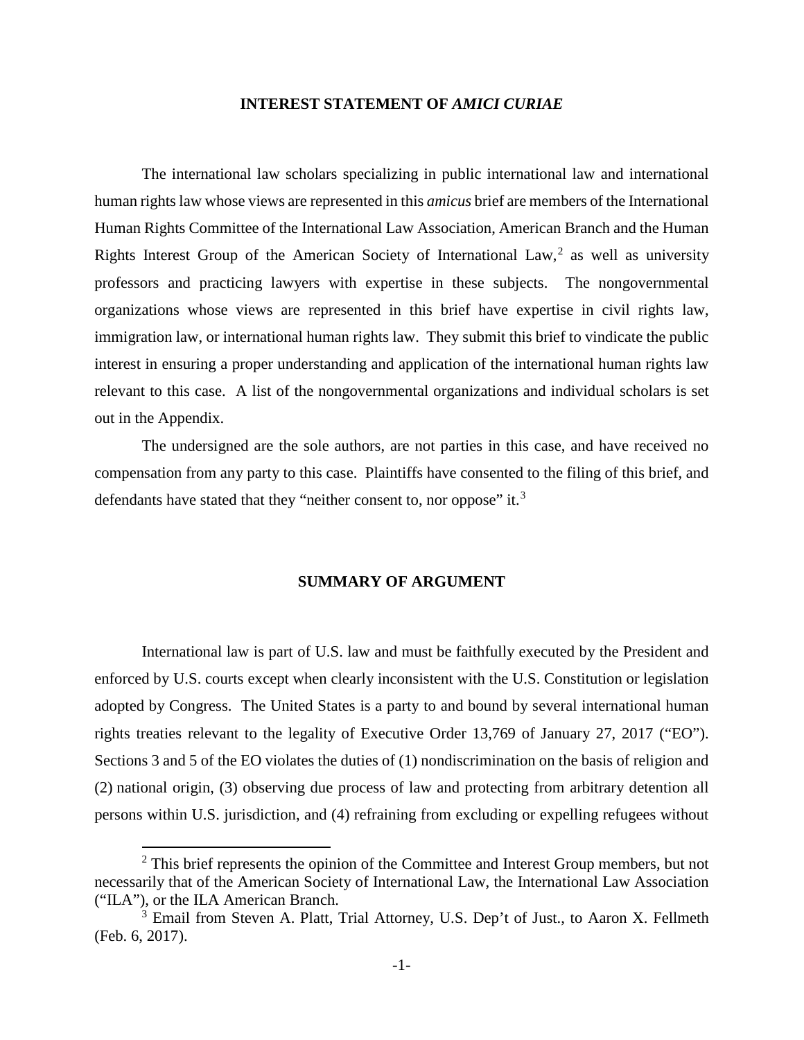#### **INTEREST STATEMENT OF** *AMICI CURIAE*

<span id="page-9-0"></span>The international law scholars specializing in public international law and international human rights law whose views are represented in this *amicus* brief are members of the International Human Rights Committee of the International Law Association, American Branch and the Human Rights Interest Group of the American Society of International Law,<sup>[2](#page-9-2)</sup> as well as university professors and practicing lawyers with expertise in these subjects. The nongovernmental organizations whose views are represented in this brief have expertise in civil rights law, immigration law, or international human rights law. They submit this brief to vindicate the public interest in ensuring a proper understanding and application of the international human rights law relevant to this case. A list of the nongovernmental organizations and individual scholars is set out in the Appendix.

The undersigned are the sole authors, are not parties in this case, and have received no compensation from any party to this case. Plaintiffs have consented to the filing of this brief, and defendants have stated that they "neither consent to, nor oppose" it.<sup>[3](#page-9-3)</sup>

#### **SUMMARY OF ARGUMENT**

<span id="page-9-1"></span>International law is part of U.S. law and must be faithfully executed by the President and enforced by U.S. courts except when clearly inconsistent with the U.S. Constitution or legislation adopted by Congress. The United States is a party to and bound by several international human rights treaties relevant to the legality of Executive Order 13,769 of January 27, 2017 ("EO"). Sections 3 and 5 of the EO violates the duties of (1) nondiscrimination on the basis of religion and (2) national origin, (3) observing due process of law and protecting from arbitrary detention all persons within U.S. jurisdiction, and (4) refraining from excluding or expelling refugees without

<span id="page-9-2"></span> $2$  This brief represents the opinion of the Committee and Interest Group members, but not necessarily that of the American Society of International Law, the International Law Association ("ILA"), or the ILA American Branch.

<span id="page-9-3"></span><sup>&</sup>lt;sup>3</sup> Email from Steven A. Platt, Trial Attorney, U.S. Dep't of Just., to Aaron X. Fellmeth (Feb. 6, 2017).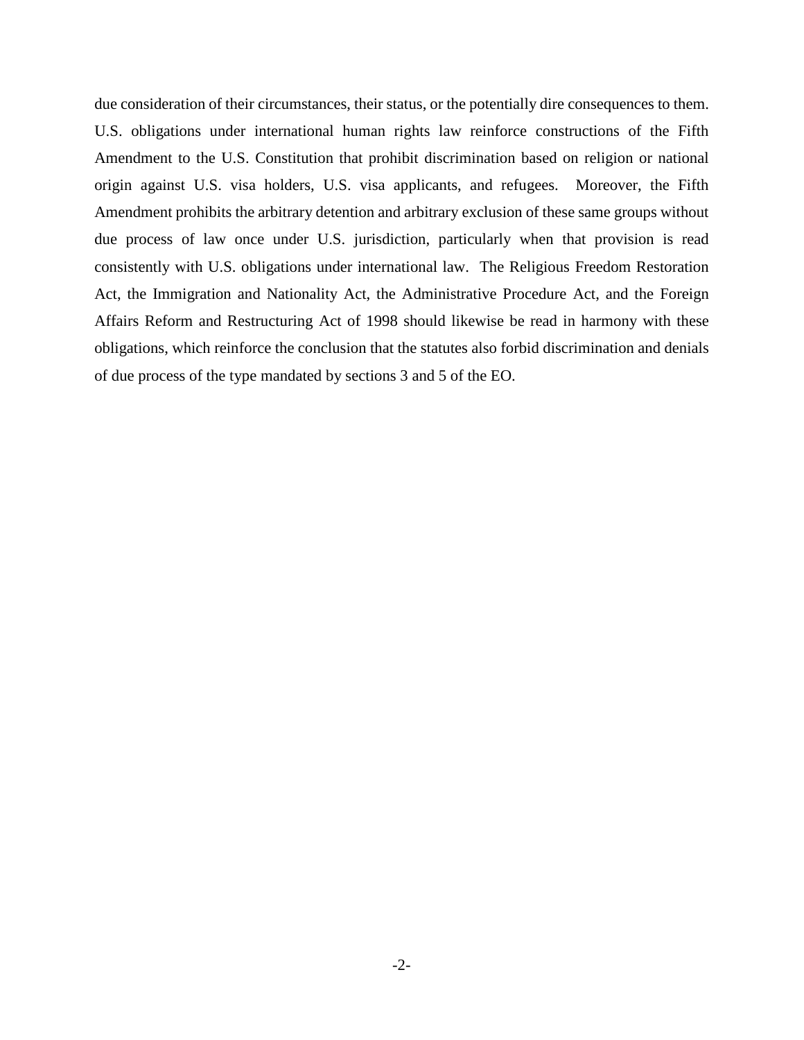due consideration of their circumstances, their status, or the potentially dire consequences to them. U.S. obligations under international human rights law reinforce constructions of the Fifth Amendment to the U.S. Constitution that prohibit discrimination based on religion or national origin against U.S. visa holders, U.S. visa applicants, and refugees. Moreover, the Fifth Amendment prohibits the arbitrary detention and arbitrary exclusion of these same groups without due process of law once under U.S. jurisdiction, particularly when that provision is read consistently with U.S. obligations under international law. The Religious Freedom Restoration Act, the Immigration and Nationality Act, the Administrative Procedure Act, and the Foreign Affairs Reform and Restructuring Act of 1998 should likewise be read in harmony with these obligations, which reinforce the conclusion that the statutes also forbid discrimination and denials of due process of the type mandated by sections 3 and 5 of the EO.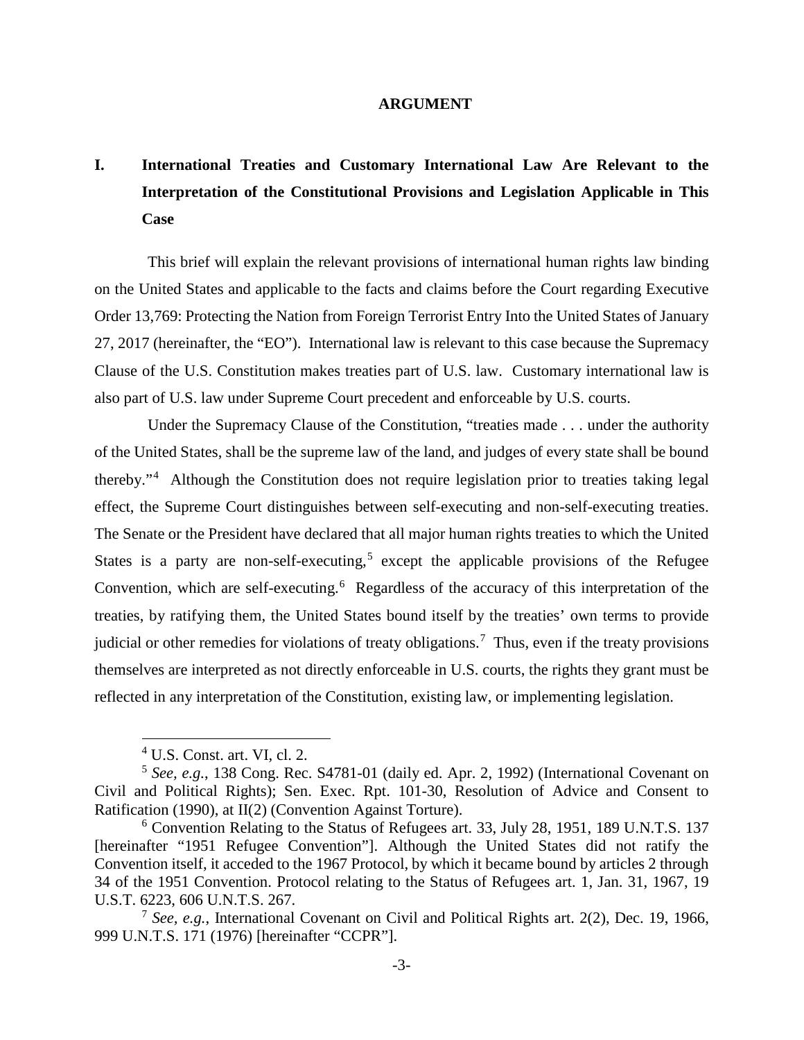#### **ARGUMENT**

# <span id="page-11-1"></span><span id="page-11-0"></span>**I. International Treaties and Customary International Law Are Relevant to the Interpretation of the Constitutional Provisions and Legislation Applicable in This Case**

This brief will explain the relevant provisions of international human rights law binding on the United States and applicable to the facts and claims before the Court regarding Executive Order 13,769: Protecting the Nation from Foreign Terrorist Entry Into the United States of January 27, 2017 (hereinafter, the "EO"). International law is relevant to this case because the Supremacy Clause of the U.S. Constitution makes treaties part of U.S. law. Customary international law is also part of U.S. law under Supreme Court precedent and enforceable by U.S. courts.

Under the Supremacy Clause of the Constitution, "treaties made . . . under the authority of the United States, shall be the supreme law of the land, and judges of every state shall be bound thereby."[4](#page-11-5) Although the Constitution does not require legislation prior to treaties taking legal effect, the Supreme Court distinguishes between self-executing and non-self-executing treaties. The Senate or the President have declared that all major human rights treaties to which the United States is a party are non-self-executing,<sup>[5](#page-11-6)</sup> except the applicable provisions of the Refugee Convention, which are self-executing.<sup>[6](#page-11-7)</sup> Regardless of the accuracy of this interpretation of the treaties, by ratifying them, the United States bound itself by the treaties' own terms to provide judicial or other remedies for violations of treaty obligations.<sup>[7](#page-11-8)</sup> Thus, even if the treaty provisions themselves are interpreted as not directly enforceable in U.S. courts, the rights they grant must be reflected in any interpretation of the Constitution, existing law, or implementing legislation.

<span id="page-11-10"></span><span id="page-11-9"></span> $4$  U.S. Const. art. VI, cl. 2.

<span id="page-11-6"></span><span id="page-11-5"></span><span id="page-11-3"></span><span id="page-11-2"></span><sup>5</sup> *See, e.g.*, 138 Cong. Rec. S4781-01 (daily ed. Apr. 2, 1992) (International Covenant on Civil and Political Rights); Sen. Exec. Rpt. 101-30, Resolution of Advice and Consent to Ratification (1990), at II(2) (Convention Against Torture).

<span id="page-11-7"></span><span id="page-11-4"></span><sup>6</sup> Convention Relating to the Status of Refugees art. 33, July 28, 1951, 189 U.N.T.S. 137 [hereinafter "1951 Refugee Convention"]. Although the United States did not ratify the Convention itself, it acceded to the 1967 Protocol, by which it became bound by articles 2 through 34 of the 1951 Convention. Protocol relating to the Status of Refugees art. 1, Jan. 31, 1967, 19 U.S.T. 6223, 606 U.N.T.S. 267.

<span id="page-11-8"></span><sup>7</sup> *See, e.g.*, International Covenant on Civil and Political Rights art. 2(2), Dec. 19, 1966, 999 U.N.T.S. 171 (1976) [hereinafter "CCPR"].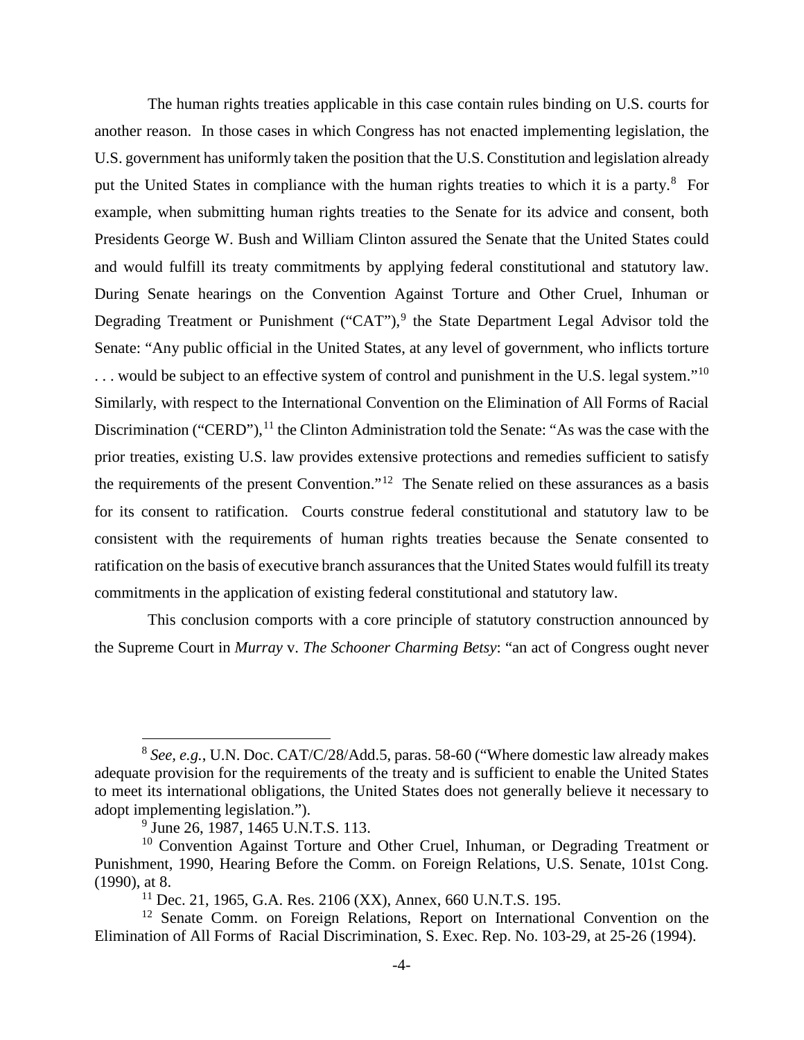<span id="page-12-2"></span>The human rights treaties applicable in this case contain rules binding on U.S. courts for another reason. In those cases in which Congress has not enacted implementing legislation, the U.S. government has uniformly taken the position that the U.S. Constitution and legislation already put the United States in compliance with the human rights treaties to which it is a party.<sup>[8](#page-12-3)</sup> For example, when submitting human rights treaties to the Senate for its advice and consent, both Presidents George W. Bush and William Clinton assured the Senate that the United States could and would fulfill its treaty commitments by applying federal constitutional and statutory law. During Senate hearings on the Convention Against Torture and Other Cruel, Inhuman or Degrading Treatment or Punishment ("CAT"), $9$  the State Department Legal Advisor told the Senate: "Any public official in the United States, at any level of government, who inflicts torture ... would be subject to an effective system of control and punishment in the U.S. legal system."<sup>[10](#page-12-5)</sup> Similarly, with respect to the International Convention on the Elimination of All Forms of Racial Discrimination ("CERD"),  $^{11}$  $^{11}$  $^{11}$  the Clinton Administration told the Senate: "As was the case with the prior treaties, existing U.S. law provides extensive protections and remedies sufficient to satisfy the requirements of the present Convention."<sup>[12](#page-12-7)</sup> The Senate relied on these assurances as a basis for its consent to ratification. Courts construe federal constitutional and statutory law to be consistent with the requirements of human rights treaties because the Senate consented to ratification on the basis of executive branch assurances that the United States would fulfill its treaty commitments in the application of existing federal constitutional and statutory law.

This conclusion comports with a core principle of statutory construction announced by the Supreme Court in *Murray* v. *The Schooner Charming Betsy*: "an act of Congress ought never

<span id="page-12-3"></span> <sup>8</sup> *See, e.g.*, U.N. Doc. CAT/C/28/Add.5, paras. 58-60 ("Where domestic law already makes adequate provision for the requirements of the treaty and is sufficient to enable the United States to meet its international obligations, the United States does not generally believe it necessary to adopt implementing legislation.").

<sup>&</sup>lt;sup>9</sup> June 26, 1987, 1465 U.N.T.S. 113.

<span id="page-12-5"></span><span id="page-12-4"></span><span id="page-12-0"></span><sup>&</sup>lt;sup>10</sup> Convention Against Torture and Other Cruel, Inhuman, or Degrading Treatment or Punishment, 1990, Hearing Before the Comm. on Foreign Relations, U.S. Senate, 101st Cong. (1990), at 8.

 $11$  Dec. 21, 1965, G.A. Res. 2106 (XX), Annex, 660 U.N.T.S. 195.

<span id="page-12-7"></span><span id="page-12-6"></span><span id="page-12-1"></span><sup>&</sup>lt;sup>12</sup> Senate Comm. on Foreign Relations, Report on International Convention on the Elimination of All Forms of Racial Discrimination, S. Exec. Rep. No. 103-29, at 25-26 (1994).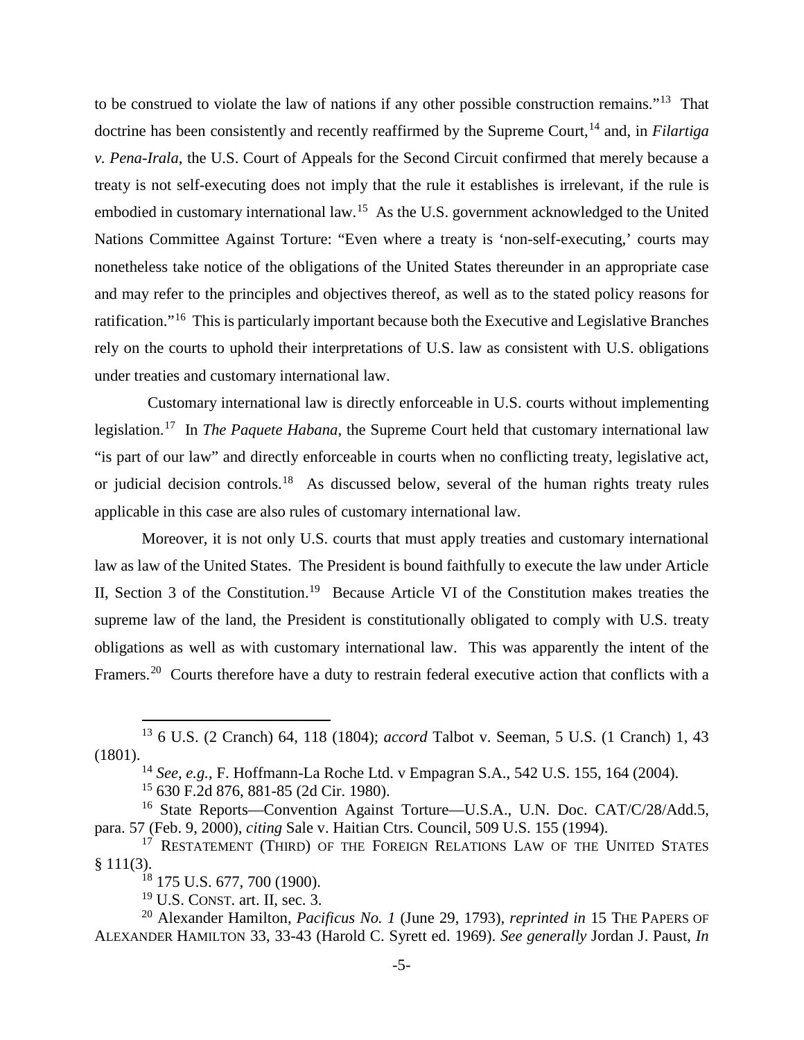to be construed to violate the law of nations if any other possible construction remains."[13](#page-13-8) That doctrine has been consistently and recently reaffirmed by the Supreme Court,<sup>[14](#page-13-9)</sup> and, in *Filartiga v. Pena-Irala*, the U.S. Court of Appeals for the Second Circuit confirmed that merely because a treaty is not self-executing does not imply that the rule it establishes is irrelevant, if the rule is embodied in customary international law.<sup>[15](#page-13-10)</sup> As the U.S. government acknowledged to the United Nations Committee Against Torture: "Even where a treaty is 'non-self-executing,' courts may nonetheless take notice of the obligations of the United States thereunder in an appropriate case and may refer to the principles and objectives thereof, as well as to the stated policy reasons for ratification."[16](#page-13-11) This is particularly important because both the Executive and Legislative Branches rely on the courts to uphold their interpretations of U.S. law as consistent with U.S. obligations under treaties and customary international law.

Customary international law is directly enforceable in U.S. courts without implementing legislation.[17](#page-13-12) In *The Paquete Habana*, the Supreme Court held that customary international law "is part of our law" and directly enforceable in courts when no conflicting treaty, legislative act, or judicial decision controls.<sup>[18](#page-13-13)</sup> As discussed below, several of the human rights treaty rules applicable in this case are also rules of customary international law.

Moreover, it is not only U.S. courts that must apply treaties and customary international law as law of the United States. The President is bound faithfully to execute the law under Article II, Section 3 of the Constitution.<sup>[19](#page-13-14)</sup> Because Article VI of the Constitution makes treaties the supreme law of the land, the President is constitutionally obligated to comply with U.S. treaty obligations as well as with customary international law. This was apparently the intent of the Framers.<sup>[20](#page-13-15)</sup> Courts therefore have a duty to restrain federal executive action that conflicts with a

<sup>14</sup> *See, e.g.*, F. Hoffmann-La Roche Ltd. v Empagran S.A., 542 U.S. 155, 164 (2004).

<sup>15</sup> 630 F.2d 876, 881-85 (2d Cir. 1980).

 $19$  U.S. CONST. art. II, sec. 3.

<span id="page-13-8"></span><span id="page-13-2"></span><span id="page-13-0"></span> <sup>13</sup> 6 U.S. (2 Cranch) 64, 118 (1804); *accord* Talbot v. Seeman, 5 U.S. (1 Cranch) 1, 43 (1801).

<span id="page-13-11"></span><span id="page-13-10"></span><span id="page-13-9"></span><span id="page-13-4"></span><span id="page-13-1"></span><sup>&</sup>lt;sup>16</sup> State Reports—Convention Against Torture—U.S.A., U.N. Doc. CAT/C/28/Add.5, para. 57 (Feb. 9, 2000), *citing* Sale v. Haitian Ctrs. Council, 509 U.S. 155 (1994).

<span id="page-13-12"></span><span id="page-13-7"></span><sup>&</sup>lt;sup>17</sup> RESTATEMENT (THIRD) OF THE FOREIGN RELATIONS LAW OF THE UNITED STATES  $§ 111(3).$ 

<sup>&</sup>lt;sup>18</sup> 175 U.S. 677, 700 (1900).

<span id="page-13-15"></span><span id="page-13-14"></span><span id="page-13-13"></span><span id="page-13-6"></span><span id="page-13-5"></span><span id="page-13-3"></span><sup>20</sup> Alexander Hamilton, *Pacificus No. 1* (June 29, 1793), *reprinted in* 15 THE PAPERS OF ALEXANDER HAMILTON 33, 33-43 (Harold C. Syrett ed. 1969). *See generally* Jordan J. Paust, *In*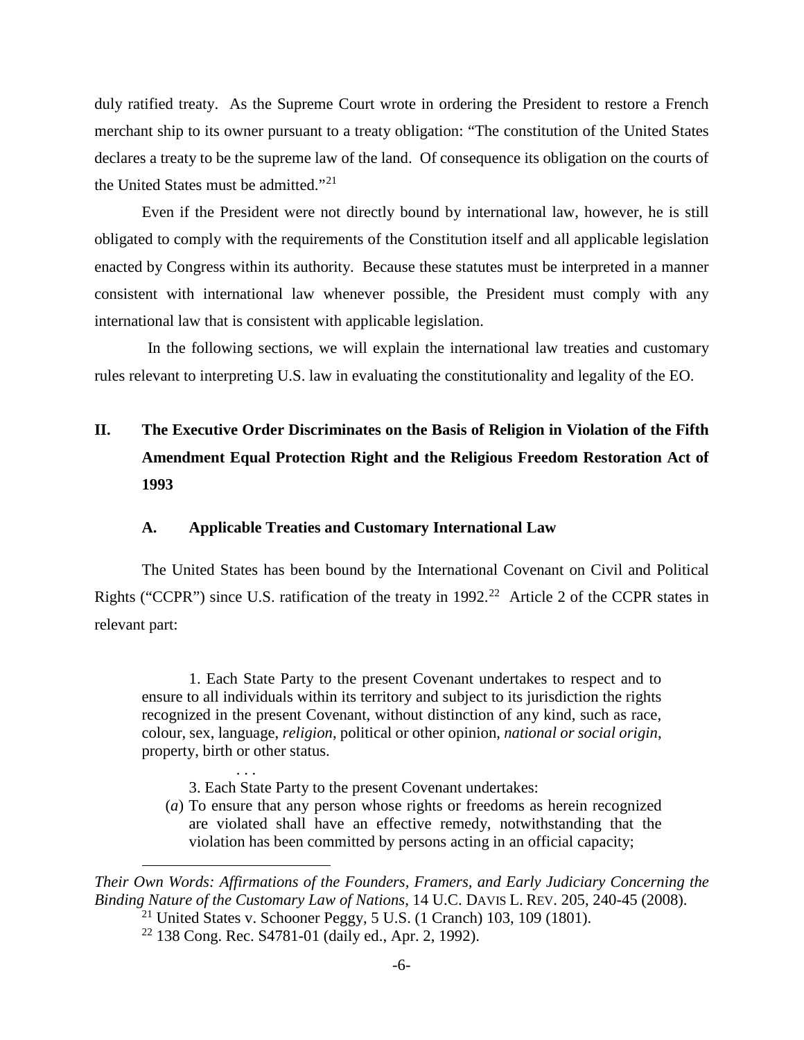duly ratified treaty. As the Supreme Court wrote in ordering the President to restore a French merchant ship to its owner pursuant to a treaty obligation: "The constitution of the United States declares a treaty to be the supreme law of the land. Of consequence its obligation on the courts of the United States must be admitted."[21](#page-14-3)

Even if the President were not directly bound by international law, however, he is still obligated to comply with the requirements of the Constitution itself and all applicable legislation enacted by Congress within its authority. Because these statutes must be interpreted in a manner consistent with international law whenever possible, the President must comply with any international law that is consistent with applicable legislation.

In the following sections, we will explain the international law treaties and customary rules relevant to interpreting U.S. law in evaluating the constitutionality and legality of the EO.

# <span id="page-14-0"></span>**II. The Executive Order Discriminates on the Basis of Religion in Violation of the Fifth Amendment Equal Protection Right and the Religious Freedom Restoration Act of 1993**

### **A. Applicable Treaties and Customary International Law**

<span id="page-14-1"></span>The United States has been bound by the International Covenant on Civil and Political Rights ("CCPR") since U.S. ratification of the treaty in  $1992<sup>22</sup>$  Article 2 of the CCPR states in relevant part:

1. Each State Party to the present Covenant undertakes to respect and to ensure to all individuals within its territory and subject to its jurisdiction the rights recognized in the present Covenant, without distinction of any kind, such as race, colour, sex, language, *religion*, political or other opinion, *national or social origin*, property, birth or other status.

- 3. Each State Party to the present Covenant undertakes:
- (*a*) To ensure that any person whose rights or freedoms as herein recognized are violated shall have an effective remedy, notwithstanding that the violation has been committed by persons acting in an official capacity;

<span id="page-14-4"></span><span id="page-14-3"></span>*Their Own Words: Affirmations of the Founders, Framers, and Early Judiciary Concerning the Binding Nature of the Customary Law of Nations*, 14 U.C. DAVIS L. REV. 205, 240-45 (2008).

- <span id="page-14-2"></span><sup>21</sup> United States v. Schooner Peggy, 5 U.S. (1 Cranch) 103, 109 (1801).
- <sup>22</sup> 138 Cong. Rec. S4781-01 (daily ed., Apr. 2, 1992).

. . .

 $\overline{a}$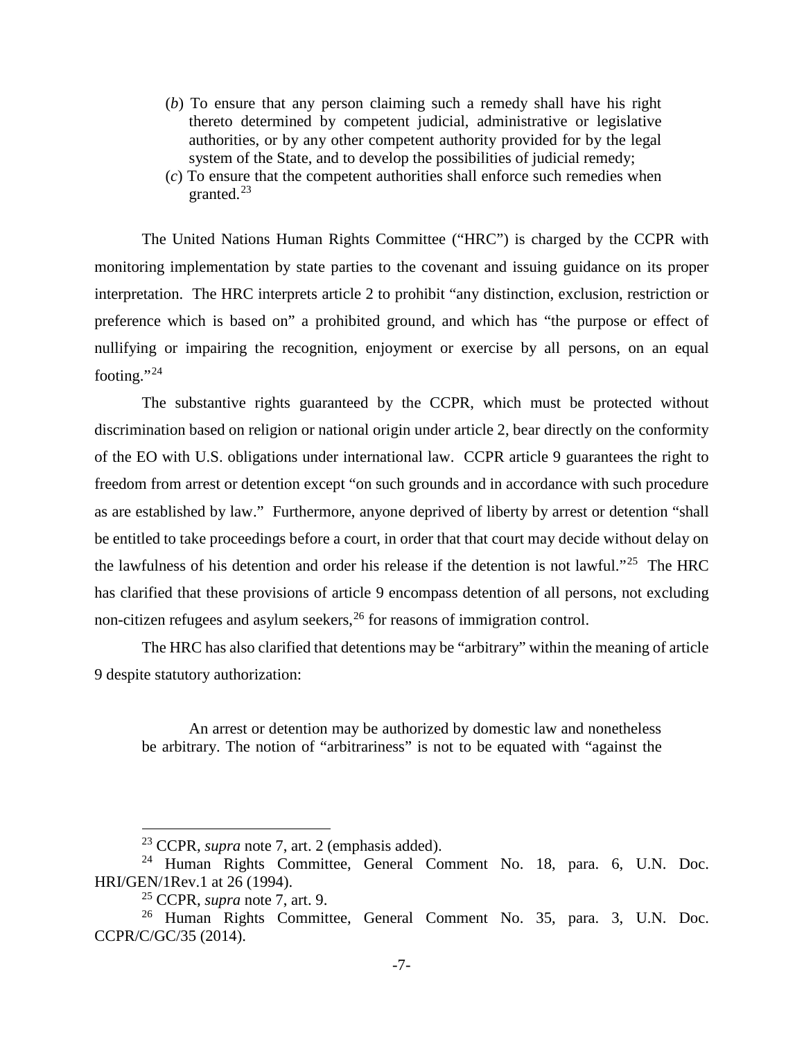- (*b*) To ensure that any person claiming such a remedy shall have his right thereto determined by competent judicial, administrative or legislative authorities, or by any other competent authority provided for by the legal system of the State, and to develop the possibilities of judicial remedy;
- (*c*) To ensure that the competent authorities shall enforce such remedies when granted.[23](#page-15-3)

The United Nations Human Rights Committee ("HRC") is charged by the CCPR with monitoring implementation by state parties to the covenant and issuing guidance on its proper interpretation. The HRC interprets article 2 to prohibit "any distinction, exclusion, restriction or preference which is based on" a prohibited ground, and which has "the purpose or effect of nullifying or impairing the recognition, enjoyment or exercise by all persons, on an equal footing."<sup>[24](#page-15-4)</sup>

<span id="page-15-7"></span>The substantive rights guaranteed by the CCPR, which must be protected without discrimination based on religion or national origin under article 2, bear directly on the conformity of the EO with U.S. obligations under international law. CCPR article 9 guarantees the right to freedom from arrest or detention except "on such grounds and in accordance with such procedure as are established by law." Furthermore, anyone deprived of liberty by arrest or detention "shall be entitled to take proceedings before a court, in order that that court may decide without delay on the lawfulness of his detention and order his release if the detention is not lawful."[25](#page-15-5) The HRC has clarified that these provisions of article 9 encompass detention of all persons, not excluding non-citizen refugees and asylum seekers,<sup>[26](#page-15-6)</sup> for reasons of immigration control.

The HRC has also clarified that detentions may be "arbitrary" within the meaning of article 9 despite statutory authorization:

An arrest or detention may be authorized by domestic law and nonetheless be arbitrary. The notion of "arbitrariness" is not to be equated with "against the

 <sup>23</sup> CCPR, *supra* note [7,](#page-11-9) art. 2 (emphasis added).

<span id="page-15-4"></span><span id="page-15-3"></span><span id="page-15-1"></span><span id="page-15-0"></span><sup>24</sup> Human Rights Committee, General Comment No. 18, para. 6, U.N. Doc. HRI/GEN/1Rev.1 at 26 (1994).

<sup>25</sup> CCPR, *supra* note [7,](#page-11-9) art. 9.

<span id="page-15-6"></span><span id="page-15-5"></span><span id="page-15-2"></span><sup>26</sup> Human Rights Committee, General Comment No. 35, para. 3, U.N. Doc. CCPR/C/GC/35 (2014).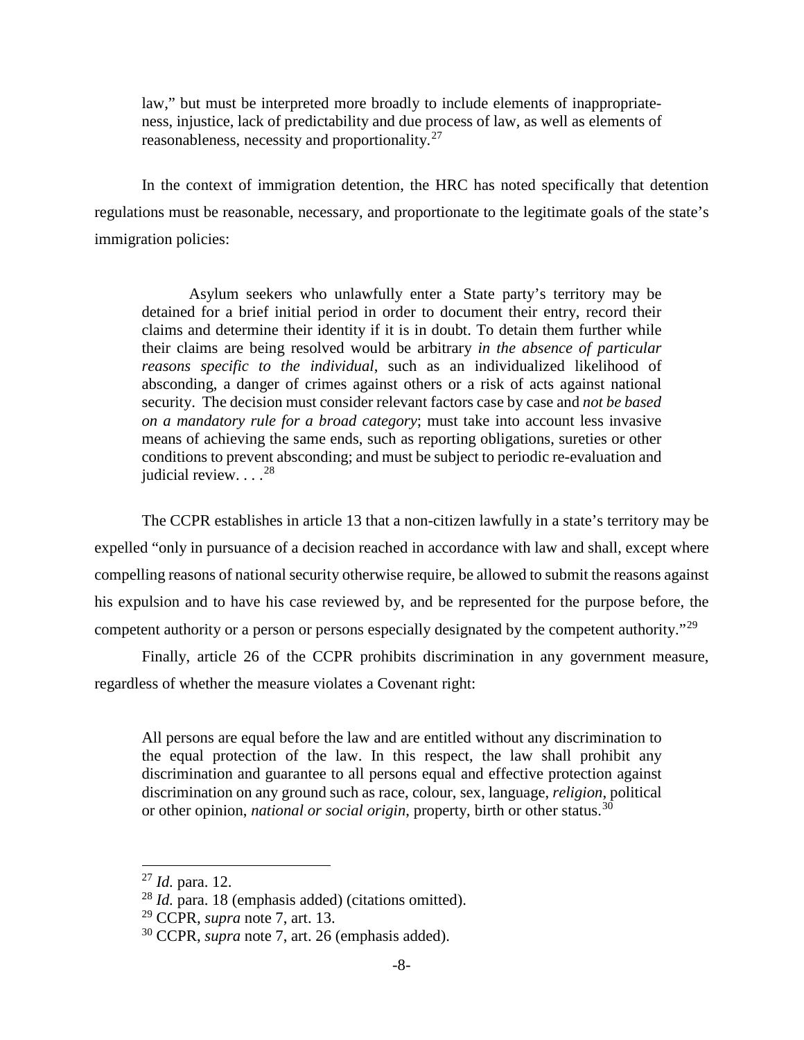law," but must be interpreted more broadly to include elements of inappropriateness, injustice, lack of predictability and due process of law, as well as elements of reasonableness, necessity and proportionality.<sup>[27](#page-16-1)</sup>

In the context of immigration detention, the HRC has noted specifically that detention regulations must be reasonable, necessary, and proportionate to the legitimate goals of the state's immigration policies:

Asylum seekers who unlawfully enter a State party's territory may be detained for a brief initial period in order to document their entry, record their claims and determine their identity if it is in doubt. To detain them further while their claims are being resolved would be arbitrary *in the absence of particular reasons specific to the individual*, such as an individualized likelihood of absconding, a danger of crimes against others or a risk of acts against national security. The decision must consider relevant factors case by case and *not be based on a mandatory rule for a broad category*; must take into account less invasive means of achieving the same ends, such as reporting obligations, sureties or other conditions to prevent absconding; and must be subject to periodic re-evaluation and judicial review.  $\ldots^{28}$  $\ldots^{28}$  $\ldots^{28}$ 

The CCPR establishes in article 13 that a non-citizen lawfully in a state's territory may be expelled "only in pursuance of a decision reached in accordance with law and shall, except where compelling reasons of national security otherwise require, be allowed to submit the reasons against his expulsion and to have his case reviewed by, and be represented for the purpose before, the competent authority or a person or persons especially designated by the competent authority."<sup>[29](#page-16-3)</sup>

Finally, article 26 of the CCPR prohibits discrimination in any government measure, regardless of whether the measure violates a Covenant right:

All persons are equal before the law and are entitled without any discrimination to the equal protection of the law. In this respect, the law shall prohibit any discrimination and guarantee to all persons equal and effective protection against discrimination on any ground such as race, colour, sex, language, *religion*, political or other opinion, *national or social origin*, property, birth or other status.<sup>[30](#page-16-4)</sup>

<span id="page-16-1"></span> <sup>27</sup> *Id.* para. 12.

<span id="page-16-2"></span><span id="page-16-0"></span><sup>28</sup> *Id.* para. 18 (emphasis added) (citations omitted).

<span id="page-16-3"></span><sup>29</sup> CCPR, *supra* note [7,](#page-11-9) art. 13.

<span id="page-16-4"></span><sup>30</sup> CCPR, *supra* note [7,](#page-11-9) art. 26 (emphasis added).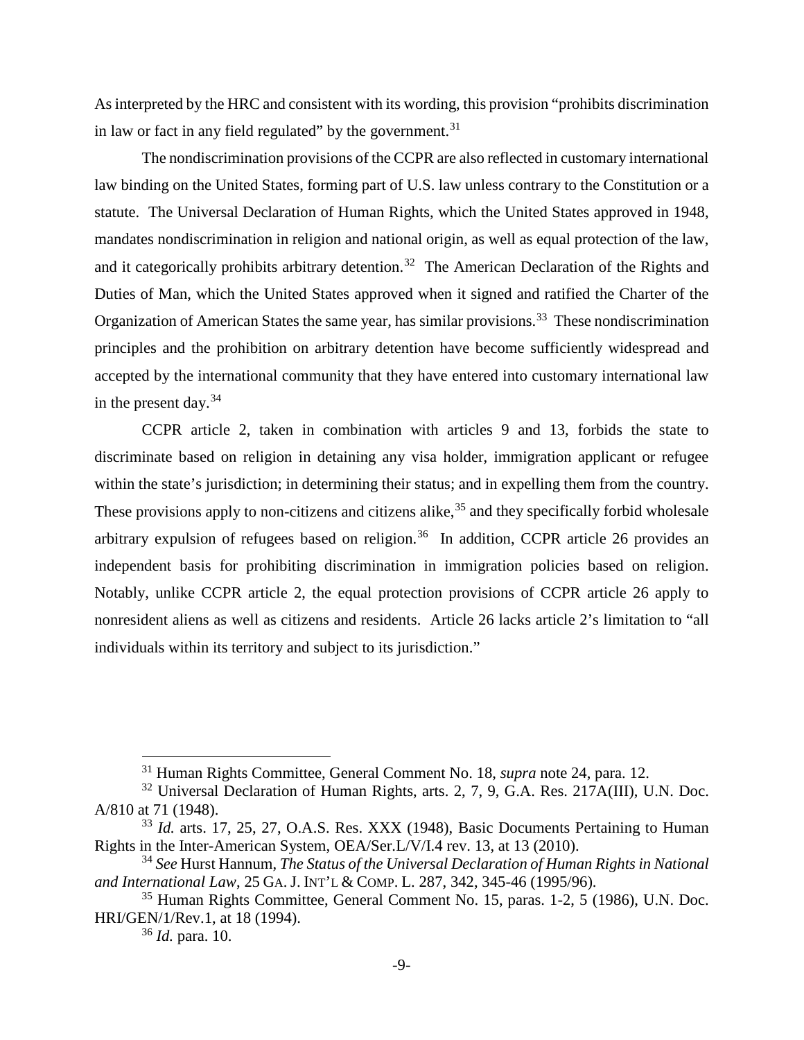As interpreted by the HRC and consistent with its wording, this provision "prohibits discrimination in law or fact in any field regulated" by the government. $31$ 

The nondiscrimination provisions of the CCPR are also reflected in customary international law binding on the United States, forming part of U.S. law unless contrary to the Constitution or a statute. The Universal Declaration of Human Rights, which the United States approved in 1948, mandates nondiscrimination in religion and national origin, as well as equal protection of the law, and it categorically prohibits arbitrary detention.<sup>[32](#page-17-4)</sup> The American Declaration of the Rights and Duties of Man, which the United States approved when it signed and ratified the Charter of the Organization of American States the same year, has similar provisions.<sup>33</sup> These nondiscrimination principles and the prohibition on arbitrary detention have become sufficiently widespread and accepted by the international community that they have entered into customary international law in the present day.<sup>[34](#page-17-6)</sup>

CCPR article 2, taken in combination with articles 9 and 13, forbids the state to discriminate based on religion in detaining any visa holder, immigration applicant or refugee within the state's jurisdiction; in determining their status; and in expelling them from the country. These provisions apply to non-citizens and citizens alike,  $35$  and they specifically forbid wholesale arbitrary expulsion of refugees based on religion.<sup>[36](#page-17-8)</sup> In addition, CCPR article 26 provides an independent basis for prohibiting discrimination in immigration policies based on religion. Notably, unlike CCPR article 2, the equal protection provisions of CCPR article 26 apply to nonresident aliens as well as citizens and residents. Article 26 lacks article 2's limitation to "all individuals within its territory and subject to its jurisdiction."

 <sup>31</sup> Human Rights Committee, General Comment No. 18, *supra* note [24,](#page-15-7) para. 12.

<span id="page-17-4"></span><span id="page-17-3"></span><span id="page-17-0"></span><sup>&</sup>lt;sup>32</sup> Universal Declaration of Human Rights, arts. 2, 7, 9, G.A. Res. 217A(III), U.N. Doc. A/810 at 71 (1948).

<span id="page-17-5"></span><sup>&</sup>lt;sup>33</sup> *Id.* arts. 17, 25, 27, O.A.S. Res. XXX (1948), Basic Documents Pertaining to Human Rights in the Inter-American System, OEA/Ser.L/V/I.4 rev. 13, at 13 (2010).

<span id="page-17-6"></span><span id="page-17-2"></span><sup>34</sup> *See* Hurst Hannum, *The Status of the Universal Declaration of Human Rights in National and International Law*, 25 GA. J. INT'L & COMP. L. 287, 342, 345-46 (1995/96).

<span id="page-17-8"></span><span id="page-17-7"></span><span id="page-17-1"></span><sup>35</sup> Human Rights Committee, General Comment No. 15, paras. 1-2, 5 (1986), U.N. Doc. HRI/GEN/1/Rev.1, at 18 (1994).

<sup>36</sup> *Id.* para. 10.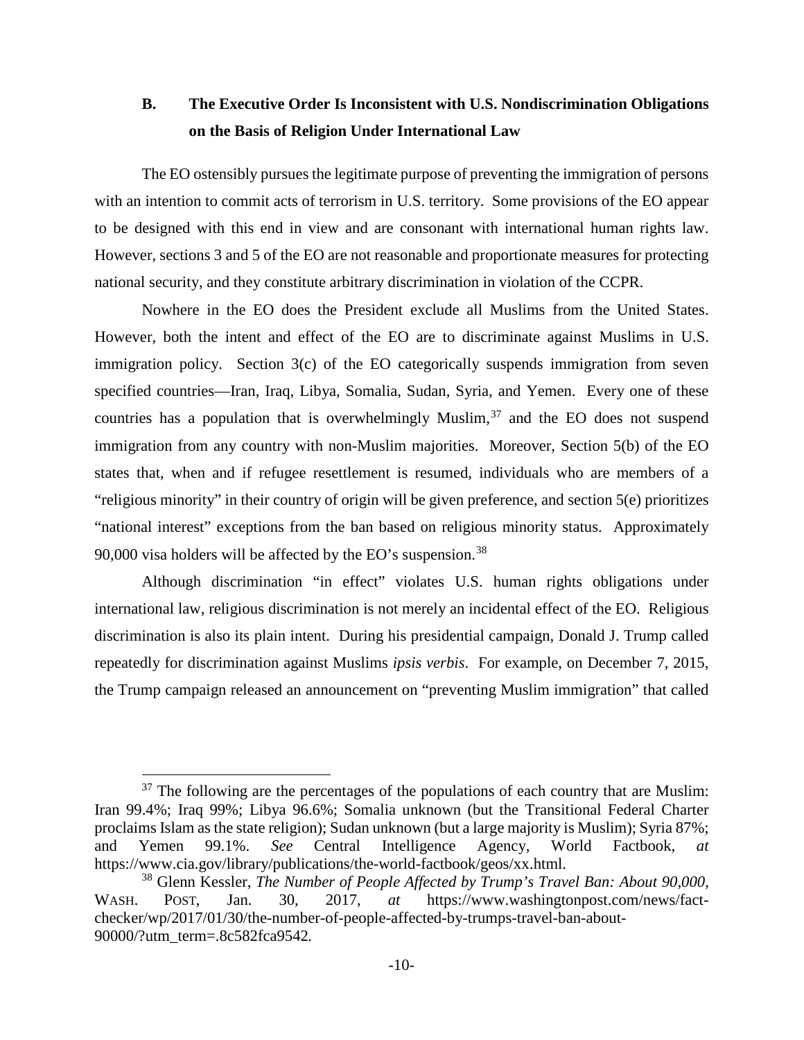# <span id="page-18-0"></span>**B. The Executive Order Is Inconsistent with U.S. Nondiscrimination Obligations on the Basis of Religion Under International Law**

The EO ostensibly pursues the legitimate purpose of preventing the immigration of persons with an intention to commit acts of terrorism in U.S. territory. Some provisions of the EO appear to be designed with this end in view and are consonant with international human rights law. However, sections 3 and 5 of the EO are not reasonable and proportionate measures for protecting national security, and they constitute arbitrary discrimination in violation of the CCPR.

Nowhere in the EO does the President exclude all Muslims from the United States. However, both the intent and effect of the EO are to discriminate against Muslims in U.S. immigration policy. Section 3(c) of the EO categorically suspends immigration from seven specified countries—Iran, Iraq, Libya, Somalia, Sudan, Syria, and Yemen. Every one of these countries has a population that is overwhelmingly Muslim, $37$  and the EO does not suspend immigration from any country with non-Muslim majorities. Moreover, Section 5(b) of the EO states that, when and if refugee resettlement is resumed, individuals who are members of a "religious minority" in their country of origin will be given preference, and section 5(e) prioritizes "national interest" exceptions from the ban based on religious minority status. Approximately 90,000 visa holders will be affected by the EO's suspension.<sup>[38](#page-18-4)</sup>

Although discrimination "in effect" violates U.S. human rights obligations under international law, religious discrimination is not merely an incidental effect of the EO. Religious discrimination is also its plain intent. During his presidential campaign, Donald J. Trump called repeatedly for discrimination against Muslims *ipsis verbis*. For example, on December 7, 2015, the Trump campaign released an announcement on "preventing Muslim immigration" that called

<span id="page-18-3"></span><span id="page-18-2"></span> $37$  The following are the percentages of the populations of each country that are Muslim: Iran 99.4%; Iraq 99%; Libya 96.6%; Somalia unknown (but the Transitional Federal Charter proclaims Islam as the state religion); Sudan unknown (but a large majority is Muslim); Syria 87%; and Yemen 99.1%. *See* Central Intelligence Agency, World Factbook, https://www.cia.gov/library/publications/the-world-factbook/geos/xx.html.

<span id="page-18-4"></span><span id="page-18-1"></span><sup>38</sup> Glenn Kessler, *The Number of People Affected by Trump's Travel Ban: About 90,000*, WASH. POST, Jan. 30, 2017, *at* https://www.washingtonpost.com/news/factchecker/wp/2017/01/30/the-number-of-people-affected-by-trumps-travel-ban-about-90000/?utm\_term=.8c582fca9542*.*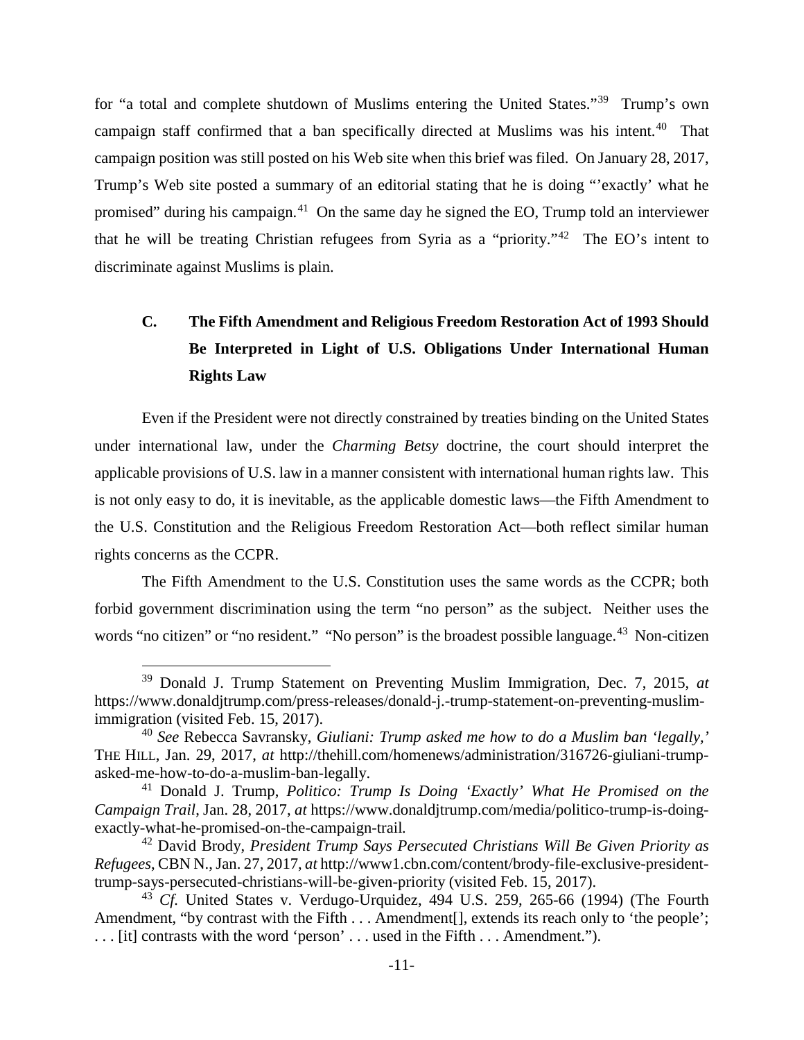for "a total and complete shutdown of Muslims entering the United States."[39](#page-19-6) Trump's own campaign staff confirmed that a ban specifically directed at Muslims was his intent.<sup>[40](#page-19-7)</sup> That campaign position was still posted on his Web site when this brief was filed. On January 28, 2017, Trump's Web site posted a summary of an editorial stating that he is doing "'exactly' what he promised" during his campaign.[41](#page-19-8) On the same day he signed the EO, Trump told an interviewer that he will be treating Christian refugees from Syria as a "priority."[42](#page-19-9) The EO's intent to discriminate against Muslims is plain.

# <span id="page-19-0"></span>**C. The Fifth Amendment and Religious Freedom Restoration Act of 1993 Should Be Interpreted in Light of U.S. Obligations Under International Human Rights Law**

Even if the President were not directly constrained by treaties binding on the United States under international law, under the *Charming Betsy* doctrine, the court should interpret the applicable provisions of U.S. law in a manner consistent with international human rights law. This is not only easy to do, it is inevitable, as the applicable domestic laws—the Fifth Amendment to the U.S. Constitution and the Religious Freedom Restoration Act—both reflect similar human rights concerns as the CCPR.

The Fifth Amendment to the U.S. Constitution uses the same words as the CCPR; both forbid government discrimination using the term "no person" as the subject. Neither uses the words "no citizen" or "no resident." "No person" is the broadest possible language.<sup>[43](#page-19-10)</sup> Non-citizen

<span id="page-19-6"></span><span id="page-19-4"></span> <sup>39</sup> Donald J. Trump Statement on Preventing Muslim Immigration, Dec. 7, 2015, *at* https://www.donaldjtrump.com/press-releases/donald-j.-trump-statement-on-preventing-muslimimmigration (visited Feb. 15, 2017).

<span id="page-19-7"></span><span id="page-19-3"></span><sup>40</sup> *See* Rebecca Savransky, *Giuliani: Trump asked me how to do a Muslim ban 'legally,'* THE HILL, Jan. 29, 2017, *at* http://thehill.com/homenews/administration/316726-giuliani-trumpasked-me-how-to-do-a-muslim-ban-legally.

<span id="page-19-8"></span><span id="page-19-5"></span><sup>41</sup> Donald J. Trump, *Politico: Trump Is Doing 'Exactly' What He Promised on the Campaign Trail*, Jan. 28, 2017, *at* https://www.donaldjtrump.com/media/politico-trump-is-doingexactly-what-he-promised-on-the-campaign-trail*.*

<span id="page-19-9"></span><span id="page-19-2"></span><sup>42</sup> David Brody, *President Trump Says Persecuted Christians Will Be Given Priority as Refugees*, CBN N., Jan. 27, 2017, *at* http://www1.cbn.com/content/brody-file-exclusive-presidenttrump-says-persecuted-christians-will-be-given-priority (visited Feb. 15, 2017).

<span id="page-19-10"></span><span id="page-19-1"></span><sup>43</sup> *Cf.* United States v. Verdugo-Urquidez, 494 U.S. 259, 265-66 (1994) (The Fourth Amendment, "by contrast with the Fifth . . . Amendment[], extends its reach only to 'the people'; . . . [it] contrasts with the word 'person' . . . used in the Fifth . . . Amendment.").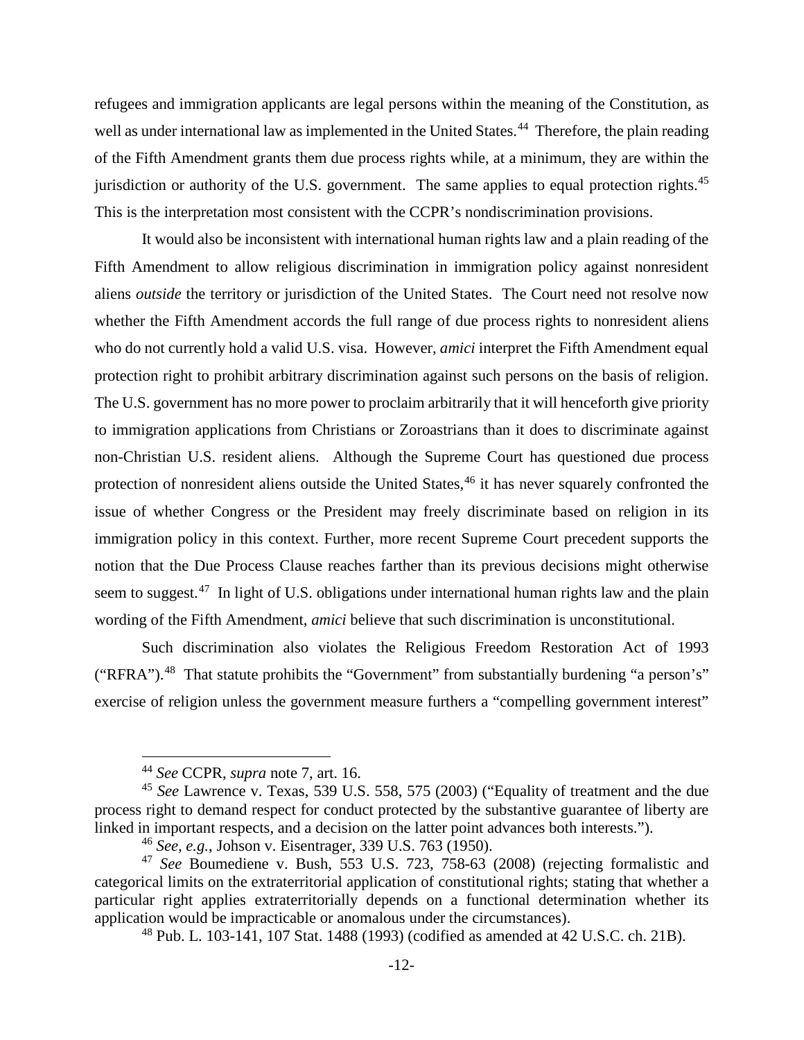refugees and immigration applicants are legal persons within the meaning of the Constitution, as well as under international law as implemented in the United States.<sup>44</sup> Therefore, the plain reading of the Fifth Amendment grants them due process rights while, at a minimum, they are within the jurisdiction or authority of the U.S. government. The same applies to equal protection rights.<sup>[45](#page-20-4)</sup> This is the interpretation most consistent with the CCPR's nondiscrimination provisions.

It would also be inconsistent with international human rights law and a plain reading of the Fifth Amendment to allow religious discrimination in immigration policy against nonresident aliens *outside* the territory or jurisdiction of the United States. The Court need not resolve now whether the Fifth Amendment accords the full range of due process rights to nonresident aliens who do not currently hold a valid U.S. visa. However, *amici* interpret the Fifth Amendment equal protection right to prohibit arbitrary discrimination against such persons on the basis of religion. The U.S. government has no more power to proclaim arbitrarily that it will henceforth give priority to immigration applications from Christians or Zoroastrians than it does to discriminate against non-Christian U.S. resident aliens. Although the Supreme Court has questioned due process protection of nonresident aliens outside the United States,<sup>[46](#page-20-5)</sup> it has never squarely confronted the issue of whether Congress or the President may freely discriminate based on religion in its immigration policy in this context. Further, more recent Supreme Court precedent supports the notion that the Due Process Clause reaches farther than its previous decisions might otherwise seem to suggest.<sup>[47](#page-20-6)</sup> In light of U.S. obligations under international human rights law and the plain wording of the Fifth Amendment, *amici* believe that such discrimination is unconstitutional.

Such discrimination also violates the Religious Freedom Restoration Act of 1993 ("RFRA").<sup>48</sup> That statute prohibits the "Government" from substantially burdening "a person's" exercise of religion unless the government measure furthers a "compelling government interest"

 <sup>44</sup> *See* CCPR, *supra* note [7,](#page-11-9) art. 16.

<span id="page-20-4"></span><span id="page-20-3"></span><span id="page-20-2"></span><sup>45</sup> *See* Lawrence v. Texas, 539 U.S. 558, 575 (2003) ("Equality of treatment and the due process right to demand respect for conduct protected by the substantive guarantee of liberty are linked in important respects, and a decision on the latter point advances both interests.").

<sup>46</sup> *See, e.g.*, Johson v. Eisentrager, 339 U.S. 763 (1950).

<span id="page-20-7"></span><span id="page-20-6"></span><span id="page-20-5"></span><span id="page-20-1"></span><span id="page-20-0"></span><sup>47</sup> *See* Boumediene v. Bush, 553 U.S. 723, 758-63 (2008) (rejecting formalistic and categorical limits on the extraterritorial application of constitutional rights; stating that whether a particular right applies extraterritorially depends on a functional determination whether its application would be impracticable or anomalous under the circumstances).

<sup>48</sup> Pub. L. 103-141, 107 Stat. 1488 (1993) (codified as amended at 42 U.S.C. ch. 21B).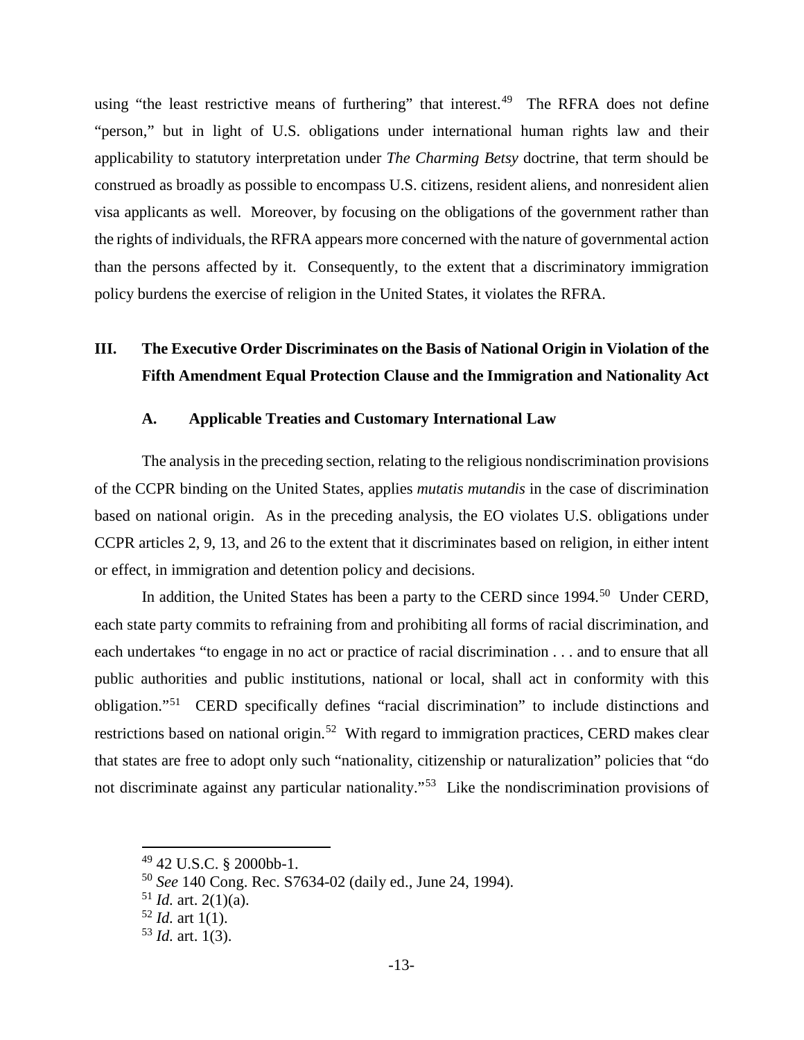using "the least restrictive means of furthering" that interest.<sup>[49](#page-21-5)</sup> The RFRA does not define "person," but in light of U.S. obligations under international human rights law and their applicability to statutory interpretation under *The Charming Betsy* doctrine, that term should be construed as broadly as possible to encompass U.S. citizens, resident aliens, and nonresident alien visa applicants as well. Moreover, by focusing on the obligations of the government rather than the rights of individuals, the RFRA appears more concerned with the nature of governmental action than the persons affected by it. Consequently, to the extent that a discriminatory immigration policy burdens the exercise of religion in the United States, it violates the RFRA.

# <span id="page-21-0"></span>**III. The Executive Order Discriminates on the Basis of National Origin in Violation of the Fifth Amendment Equal Protection Clause and the Immigration and Nationality Act**

### **A. Applicable Treaties and Customary International Law**

<span id="page-21-1"></span>The analysis in the preceding section, relating to the religious nondiscrimination provisions of the CCPR binding on the United States, applies *mutatis mutandis* in the case of discrimination based on national origin. As in the preceding analysis, the EO violates U.S. obligations under CCPR articles 2, 9, 13, and 26 to the extent that it discriminates based on religion, in either intent or effect, in immigration and detention policy and decisions.

In addition, the United States has been a party to the CERD since 1994.<sup>[50](#page-21-6)</sup> Under CERD, each state party commits to refraining from and prohibiting all forms of racial discrimination, and each undertakes "to engage in no act or practice of racial discrimination . . . and to ensure that all public authorities and public institutions, national or local, shall act in conformity with this obligation."[51](#page-21-7) CERD specifically defines "racial discrimination" to include distinctions and restrictions based on national origin.<sup>[52](#page-21-8)</sup> With regard to immigration practices, CERD makes clear that states are free to adopt only such "nationality, citizenship or naturalization" policies that "do not discriminate against any particular nationality."[53](#page-21-9) Like the nondiscrimination provisions of

<span id="page-21-5"></span><span id="page-21-2"></span> <sup>49</sup> 42 U.S.C. § 2000bb-1.

<span id="page-21-6"></span><span id="page-21-3"></span><sup>50</sup> *See* 140 Cong. Rec. S7634-02 (daily ed., June 24, 1994).

<span id="page-21-7"></span> $^{51}$  *Id.* art. 2(1)(a).

<span id="page-21-8"></span> $52$  *Id.* art 1(1).

<span id="page-21-9"></span><span id="page-21-4"></span> $53$  *Id.* art. 1(3).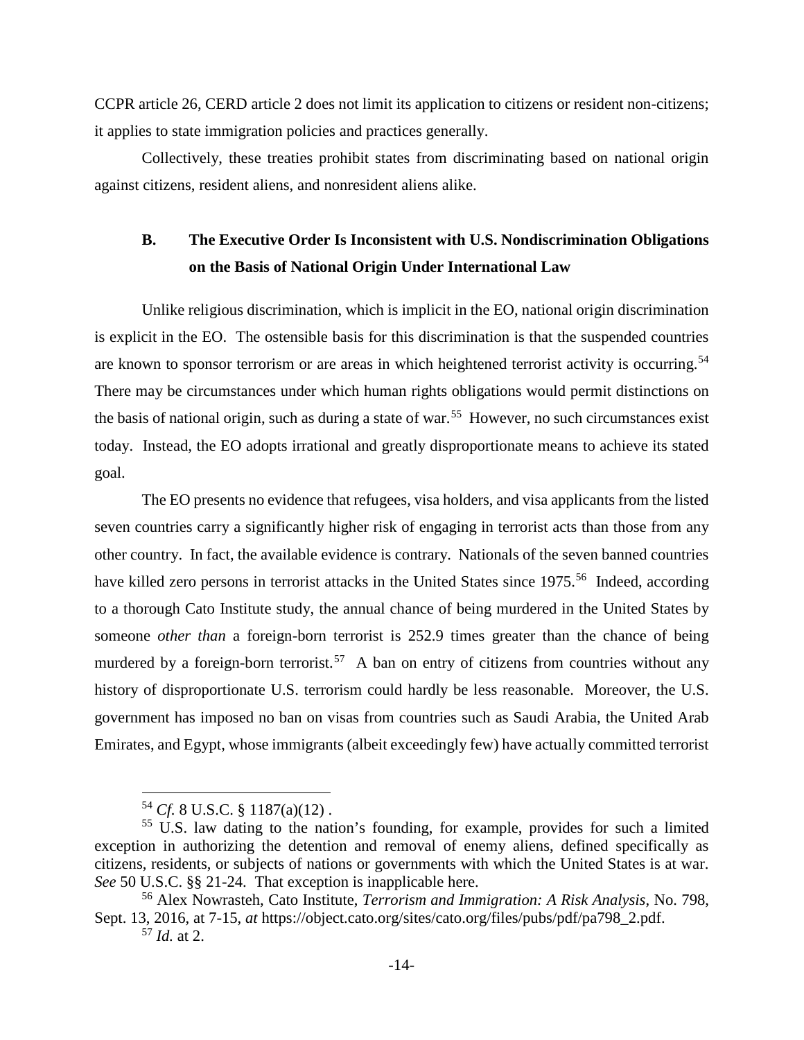CCPR article 26, CERD article 2 does not limit its application to citizens or resident non-citizens; it applies to state immigration policies and practices generally.

Collectively, these treaties prohibit states from discriminating based on national origin against citizens, resident aliens, and nonresident aliens alike.

# <span id="page-22-0"></span>**B. The Executive Order Is Inconsistent with U.S. Nondiscrimination Obligations on the Basis of National Origin Under International Law**

Unlike religious discrimination, which is implicit in the EO, national origin discrimination is explicit in the EO. The ostensible basis for this discrimination is that the suspended countries are known to sponsor terrorism or are areas in which heightened terrorist activity is occurring.<sup>[54](#page-22-4)</sup> There may be circumstances under which human rights obligations would permit distinctions on the basis of national origin, such as during a state of war.<sup>55</sup> However, no such circumstances exist today. Instead, the EO adopts irrational and greatly disproportionate means to achieve its stated goal.

<span id="page-22-8"></span>The EO presents no evidence that refugees, visa holders, and visa applicants from the listed seven countries carry a significantly higher risk of engaging in terrorist acts than those from any other country. In fact, the available evidence is contrary. Nationals of the seven banned countries have killed zero persons in terrorist attacks in the United States since 1975.<sup>56</sup> Indeed, according to a thorough Cato Institute study, the annual chance of being murdered in the United States by someone *other than* a foreign-born terrorist is 252.9 times greater than the chance of being murdered by a foreign-born terrorist.<sup>57</sup> A ban on entry of citizens from countries without any history of disproportionate U.S. terrorism could hardly be less reasonable. Moreover, the U.S. government has imposed no ban on visas from countries such as Saudi Arabia, the United Arab Emirates, and Egypt, whose immigrants (albeit exceedingly few) have actually committed terrorist

 <sup>54</sup> *Cf.* 8 U.S.C. § 1187(a)(12) .

<span id="page-22-5"></span><span id="page-22-4"></span><span id="page-22-2"></span><span id="page-22-1"></span><sup>55</sup> U.S. law dating to the nation's founding, for example, provides for such a limited exception in authorizing the detention and removal of enemy aliens, defined specifically as citizens, residents, or subjects of nations or governments with which the United States is at war. *See* 50 U.S.C. §§ 21-24. That exception is inapplicable here.

<span id="page-22-7"></span><span id="page-22-6"></span><span id="page-22-3"></span><sup>56</sup> Alex Nowrasteh, Cato Institute, *Terrorism and Immigration: A Risk Analysis*, No. 798, Sept. 13, 2016, at 7-15, *at* https://object.cato.org/sites/cato.org/files/pubs/pdf/pa798\_2.pdf. <sup>57</sup> *Id.* at 2.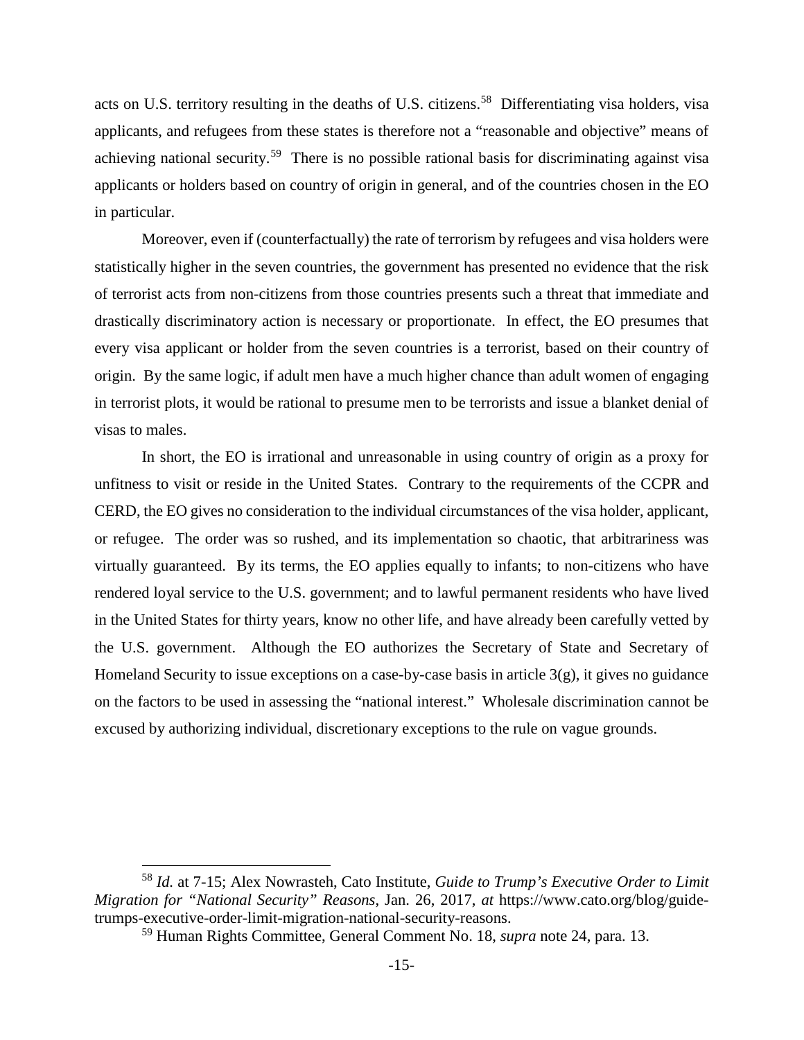acts on U.S. territory resulting in the deaths of U.S. citizens. [58](#page-23-2) Differentiating visa holders, visa applicants, and refugees from these states is therefore not a "reasonable and objective" means of achieving national security.<sup>[59](#page-23-3)</sup> There is no possible rational basis for discriminating against visa applicants or holders based on country of origin in general, and of the countries chosen in the EO in particular.

Moreover, even if (counterfactually) the rate of terrorism by refugees and visa holders were statistically higher in the seven countries, the government has presented no evidence that the risk of terrorist acts from non-citizens from those countries presents such a threat that immediate and drastically discriminatory action is necessary or proportionate. In effect, the EO presumes that every visa applicant or holder from the seven countries is a terrorist, based on their country of origin. By the same logic, if adult men have a much higher chance than adult women of engaging in terrorist plots, it would be rational to presume men to be terrorists and issue a blanket denial of visas to males.

In short, the EO is irrational and unreasonable in using country of origin as a proxy for unfitness to visit or reside in the United States. Contrary to the requirements of the CCPR and CERD, the EO gives no consideration to the individual circumstances of the visa holder, applicant, or refugee. The order was so rushed, and its implementation so chaotic, that arbitrariness was virtually guaranteed. By its terms, the EO applies equally to infants; to non-citizens who have rendered loyal service to the U.S. government; and to lawful permanent residents who have lived in the United States for thirty years, know no other life, and have already been carefully vetted by the U.S. government. Although the EO authorizes the Secretary of State and Secretary of Homeland Security to issue exceptions on a case-by-case basis in article  $3(g)$ , it gives no guidance on the factors to be used in assessing the "national interest." Wholesale discrimination cannot be excused by authorizing individual, discretionary exceptions to the rule on vague grounds.

<span id="page-23-3"></span><span id="page-23-2"></span><span id="page-23-1"></span> <sup>58</sup> *Id.* at 7-15; Alex Nowrasteh, Cato Institute, *Guide to Trump's Executive Order to Limit Migration for "National Security" Reasons*, Jan. 26, 2017, *at* https://www.cato.org/blog/guidetrumps-executive-order-limit-migration-national-security-reasons.

<span id="page-23-0"></span><sup>59</sup> Human Rights Committee, General Comment No. 18, *supra* note [24,](#page-15-7) para. 13.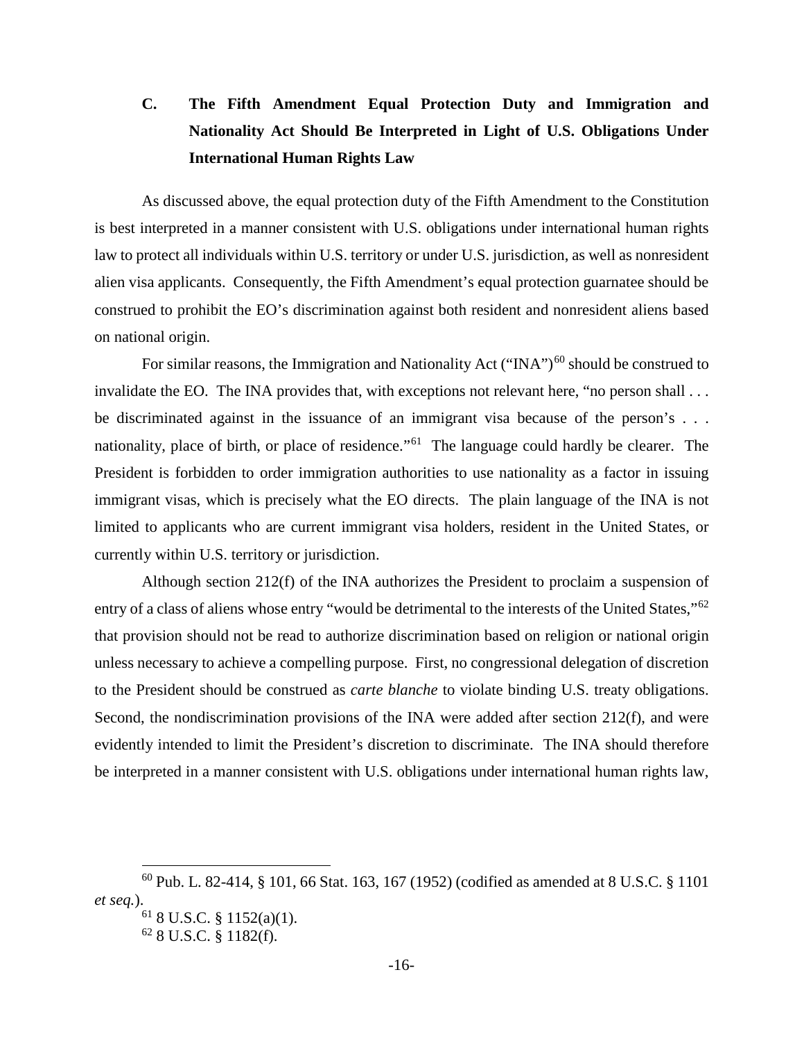# <span id="page-24-0"></span>**C. The Fifth Amendment Equal Protection Duty and Immigration and Nationality Act Should Be Interpreted in Light of U.S. Obligations Under International Human Rights Law**

As discussed above, the equal protection duty of the Fifth Amendment to the Constitution is best interpreted in a manner consistent with U.S. obligations under international human rights law to protect all individuals within U.S. territory or under U.S. jurisdiction, as well as nonresident alien visa applicants. Consequently, the Fifth Amendment's equal protection guarnatee should be construed to prohibit the EO's discrimination against both resident and nonresident aliens based on national origin.

For similar reasons, the Immigration and Nationality Act ("INA")<sup>[60](#page-24-4)</sup> should be construed to invalidate the EO. The INA provides that, with exceptions not relevant here, "no person shall ... be discriminated against in the issuance of an immigrant visa because of the person's . . . nationality, place of birth, or place of residence."<sup>[61](#page-24-5)</sup> The language could hardly be clearer. The President is forbidden to order immigration authorities to use nationality as a factor in issuing immigrant visas, which is precisely what the EO directs. The plain language of the INA is not limited to applicants who are current immigrant visa holders, resident in the United States, or currently within U.S. territory or jurisdiction.

Although section 212(f) of the INA authorizes the President to proclaim a suspension of entry of a class of aliens whose entry "would be detrimental to the interests of the United States,"<sup>[62](#page-24-6)</sup> that provision should not be read to authorize discrimination based on religion or national origin unless necessary to achieve a compelling purpose. First, no congressional delegation of discretion to the President should be construed as *carte blanche* to violate binding U.S. treaty obligations. Second, the nondiscrimination provisions of the INA were added after section 212(f), and were evidently intended to limit the President's discretion to discriminate. The INA should therefore be interpreted in a manner consistent with U.S. obligations under international human rights law,

<span id="page-24-6"></span><span id="page-24-5"></span><span id="page-24-4"></span><span id="page-24-2"></span><span id="page-24-1"></span> <sup>60</sup> Pub. L. 82-414, § 101, 66 Stat. 163, 167 (1952) (codified as amended at 8 U.S.C. § <sup>1101</sup> *et seq.*).

<sup>61</sup> 8 U.S.C. § 1152(a)(1).

<span id="page-24-3"></span><sup>62</sup> 8 U.S.C. § 1182(f).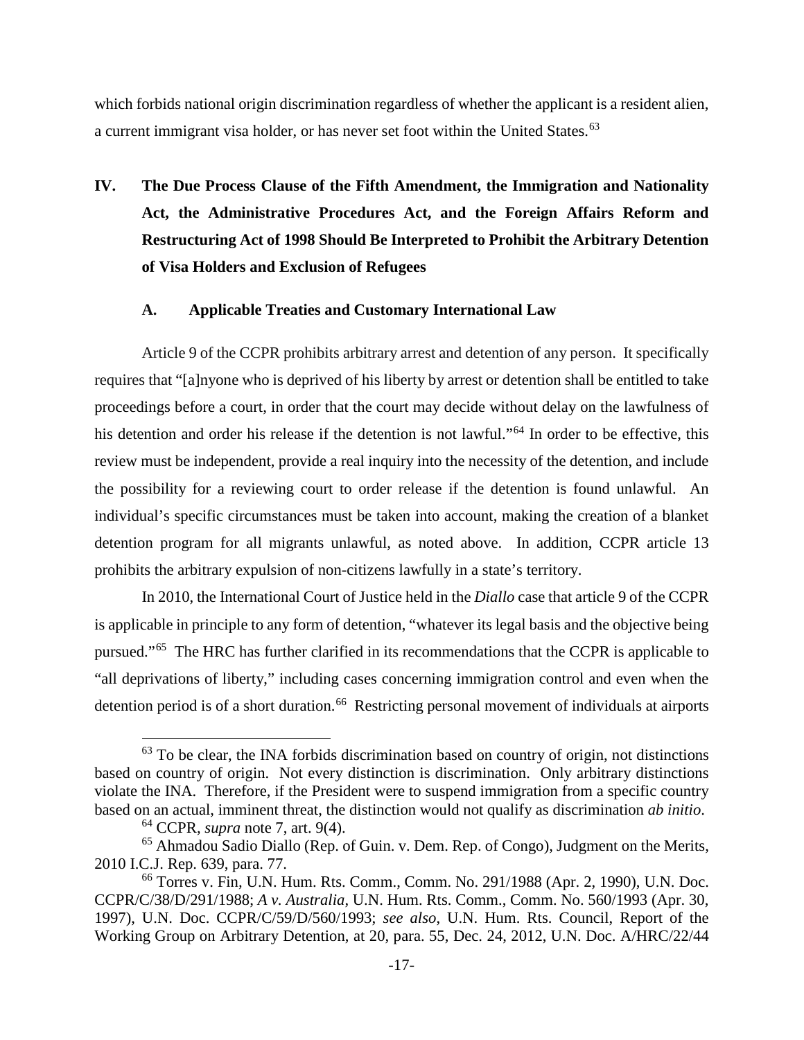which forbids national origin discrimination regardless of whether the applicant is a resident alien, a current immigrant visa holder, or has never set foot within the United States.<sup>[63](#page-25-4)</sup>

<span id="page-25-0"></span>**IV. The Due Process Clause of the Fifth Amendment, the Immigration and Nationality Act, the Administrative Procedures Act, and the Foreign Affairs Reform and Restructuring Act of 1998 Should Be Interpreted to Prohibit the Arbitrary Detention of Visa Holders and Exclusion of Refugees**

### **A. Applicable Treaties and Customary International Law**

<span id="page-25-1"></span>Article 9 of the CCPR prohibits arbitrary arrest and detention of any person. It specifically requires that "[a]nyone who is deprived of his liberty by arrest or detention shall be entitled to take proceedings before a court, in order that the court may decide without delay on the lawfulness of his detention and order his release if the detention is not lawful."<sup>[64](#page-25-5)</sup> In order to be effective, this review must be independent, provide a real inquiry into the necessity of the detention, and include the possibility for a reviewing court to order release if the detention is found unlawful. An individual's specific circumstances must be taken into account, making the creation of a blanket detention program for all migrants unlawful, as noted above. In addition, CCPR article 13 prohibits the arbitrary expulsion of non-citizens lawfully in a state's territory.

In 2010, the International Court of Justice held in the *Diallo* case that article 9 of the CCPR is applicable in principle to any form of detention, "whatever its legal basis and the objective being pursued."[65](#page-25-6) The HRC has further clarified in its recommendations that the CCPR is applicable to "all deprivations of liberty," including cases concerning immigration control and even when the detention period is of a short duration.<sup>[66](#page-25-7)</sup> Restricting personal movement of individuals at airports

<span id="page-25-4"></span> $63$  To be clear, the INA forbids discrimination based on country of origin, not distinctions based on country of origin. Not every distinction is discrimination. Only arbitrary distinctions violate the INA. Therefore, if the President were to suspend immigration from a specific country based on an actual, imminent threat, the distinction would not qualify as discrimination *ab initio*.

<span id="page-25-8"></span><sup>64</sup> CCPR, *supra* note [7,](#page-11-9) art. 9(4).

<span id="page-25-6"></span><span id="page-25-5"></span><span id="page-25-3"></span><sup>65</sup> Ahmadou Sadio Diallo (Rep. of Guin. v. Dem. Rep. of Congo), Judgment on the Merits, 2010 I.C.J. Rep. 639, para. 77.

<span id="page-25-7"></span><span id="page-25-2"></span><sup>66</sup> Torres v. Fin*,* U.N. Hum. Rts. Comm., Comm. No. 291/1988 (Apr. 2, 1990), U.N. Doc. CCPR/C/38/D/291/1988; *A v. Australia*, U.N. Hum. Rts. Comm., Comm. No. 560/1993 (Apr. 30, 1997), U.N. Doc. CCPR/C/59/D/560/1993; *see also*, U.N. Hum. Rts. Council, Report of the Working Group on Arbitrary Detention, at 20, para. 55, Dec. 24, 2012, U.N. Doc. A/HRC/22/44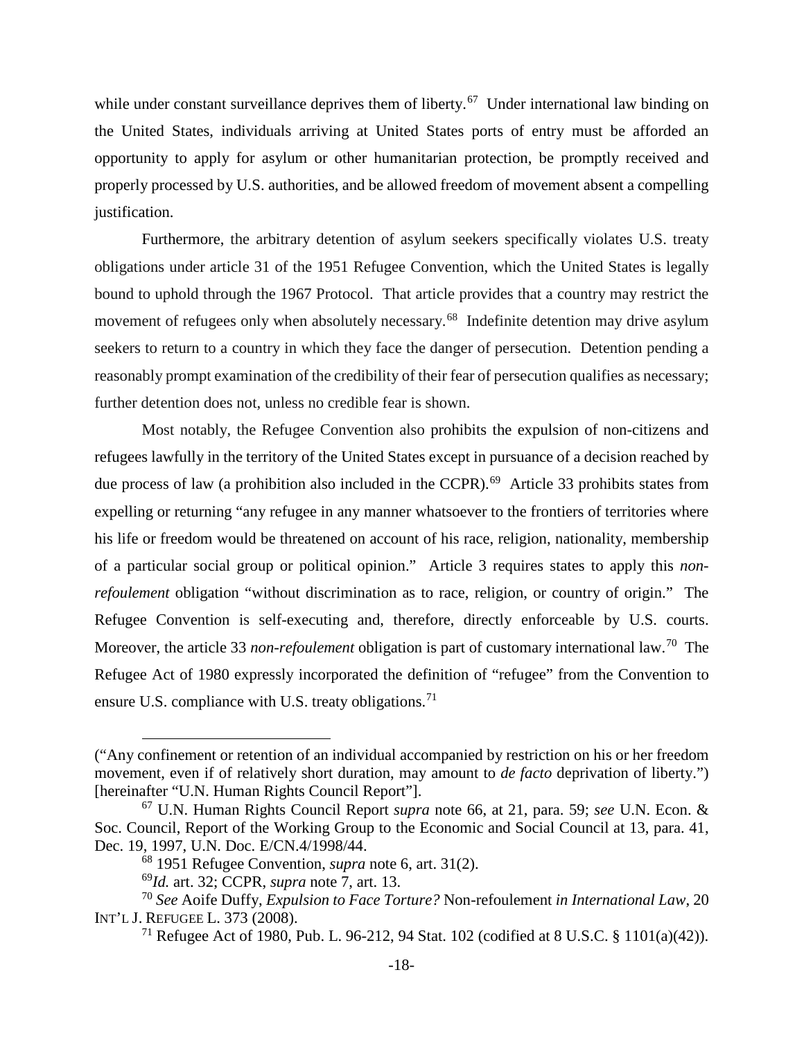while under constant surveillance deprives them of liberty.<sup>[67](#page-26-4)</sup> Under international law binding on the United States, individuals arriving at United States ports of entry must be afforded an opportunity to apply for asylum or other humanitarian protection, be promptly received and properly processed by U.S. authorities, and be allowed freedom of movement absent a compelling justification.

Furthermore, the arbitrary detention of asylum seekers specifically violates U.S. treaty obligations under article 31 of the 1951 Refugee Convention, which the United States is legally bound to uphold through the 1967 Protocol. That article provides that a country may restrict the movement of refugees only when absolutely necessary.<sup>68</sup> Indefinite detention may drive asylum seekers to return to a country in which they face the danger of persecution. Detention pending a reasonably prompt examination of the credibility of their fear of persecution qualifies as necessary; further detention does not, unless no credible fear is shown.

Most notably, the Refugee Convention also prohibits the expulsion of non-citizens and refugees lawfully in the territory of the United States except in pursuance of a decision reached by due process of law (a prohibition also included in the CCPR).<sup>[69](#page-26-6)</sup> Article 33 prohibits states from expelling or returning "any refugee in any manner whatsoever to the frontiers of territories where his life or freedom would be threatened on account of his race, religion, nationality, membership of a particular social group or political opinion." Article 3 requires states to apply this *nonrefoulement* obligation "without discrimination as to race, religion, or country of origin." The Refugee Convention is self-executing and, therefore, directly enforceable by U.S. courts. Moreover, the article 33 *non-refoulement* obligation is part of customary international law.<sup>70</sup> The Refugee Act of 1980 expressly incorporated the definition of "refugee" from the Convention to ensure U.S. compliance with U.S. treaty obligations.<sup>[71](#page-26-8)</sup>

<span id="page-26-0"></span> $\overline{a}$ 

<sup>(&</sup>quot;Any confinement or retention of an individual accompanied by restriction on his or her freedom movement, even if of relatively short duration, may amount to *de facto* deprivation of liberty.") [hereinafter "U.N. Human Rights Council Report"].

<span id="page-26-4"></span><span id="page-26-2"></span><sup>67</sup> U.N. Human Rights Council Report *supra* note [66,](#page-25-8) at 21, para. 59; *see* U.N. Econ. & Soc. Council, Report of the Working Group to the Economic and Social Council at 13, para. 41, Dec. 19, 1997, U.N. Doc. E/CN.4/1998/44.

<sup>68</sup> 1951 Refugee Convention, *supra* note [6,](#page-11-10) art. 31(2).

<sup>69</sup>*Id.* art. 32; CCPR, *supra* note [7,](#page-11-9) art. 13.

<span id="page-26-8"></span><span id="page-26-7"></span><span id="page-26-6"></span><span id="page-26-5"></span><span id="page-26-3"></span><span id="page-26-1"></span><sup>70</sup> *See* Aoife Duffy, *Expulsion to Face Torture?* Non-refoulement *in International Law*, 20 INT'L J. REFUGEE L. 373 (2008).

<sup>71</sup> Refugee Act of 1980, Pub. L. 96-212, 94 Stat. 102 (codified at 8 U.S.C. § 1101(a)(42)).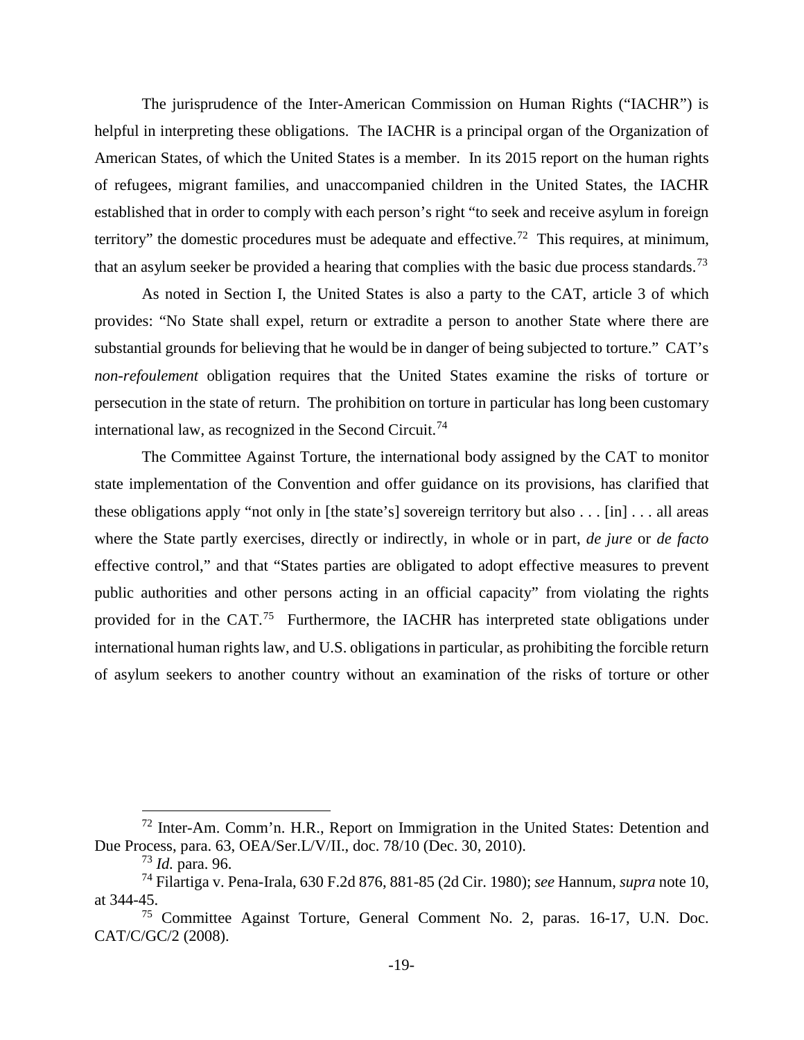The jurisprudence of the Inter-American Commission on Human Rights ("IACHR") is helpful in interpreting these obligations. The IACHR is a principal organ of the Organization of American States, of which the United States is a member. In its 2015 report on the human rights of refugees, migrant families, and unaccompanied children in the United States, the IACHR established that in order to comply with each person's right "to seek and receive asylum in foreign territory" the domestic procedures must be adequate and effective.<sup>[72](#page-27-3)</sup> This requires, at minimum, that an asylum seeker be provided a hearing that complies with the basic due process standards.<sup>[73](#page-27-4)</sup>

As noted in Section I, the United States is also a party to the CAT, article 3 of which provides: "No State shall expel, return or extradite a person to another State where there are substantial grounds for believing that he would be in danger of being subjected to torture." CAT's *non-refoulement* obligation requires that the United States examine the risks of torture or persecution in the state of return. The prohibition on torture in particular has long been customary international law, as recognized in the Second Circuit.<sup>[74](#page-27-5)</sup>

The Committee Against Torture, the international body assigned by the CAT to monitor state implementation of the Convention and offer guidance on its provisions, has clarified that these obligations apply "not only in [the state's] sovereign territory but also . . . [in] . . . all areas where the State partly exercises, directly or indirectly, in whole or in part, *de jure* or *de facto* effective control," and that "States parties are obligated to adopt effective measures to prevent public authorities and other persons acting in an official capacity" from violating the rights provided for in the CAT.<sup>75</sup> Furthermore, the IACHR has interpreted state obligations under international human rights law, and U.S. obligations in particular, as prohibiting the forcible return of asylum seekers to another country without an examination of the risks of torture or other

<span id="page-27-3"></span><span id="page-27-1"></span> <sup>72</sup> Inter-Am. Comm'n. H.R., Report on Immigration in the United States: Detention and Due Process, para. 63, OEA/Ser.L/V/II., doc. 78/10 (Dec. 30, 2010).

<sup>73</sup> *Id.* para. 96.

<span id="page-27-5"></span><span id="page-27-4"></span><span id="page-27-0"></span><sup>74</sup> Filartiga v. Pena-Irala, 630 F.2d 876, 881-85 (2d Cir. 1980); *see* Hannum, *supra* note [10,](#page-17-2) at 344-45.

<span id="page-27-6"></span><span id="page-27-2"></span><sup>75</sup> Committee Against Torture, General Comment No. 2, paras. 16-17, U.N. Doc. CAT/C/GC/2 (2008).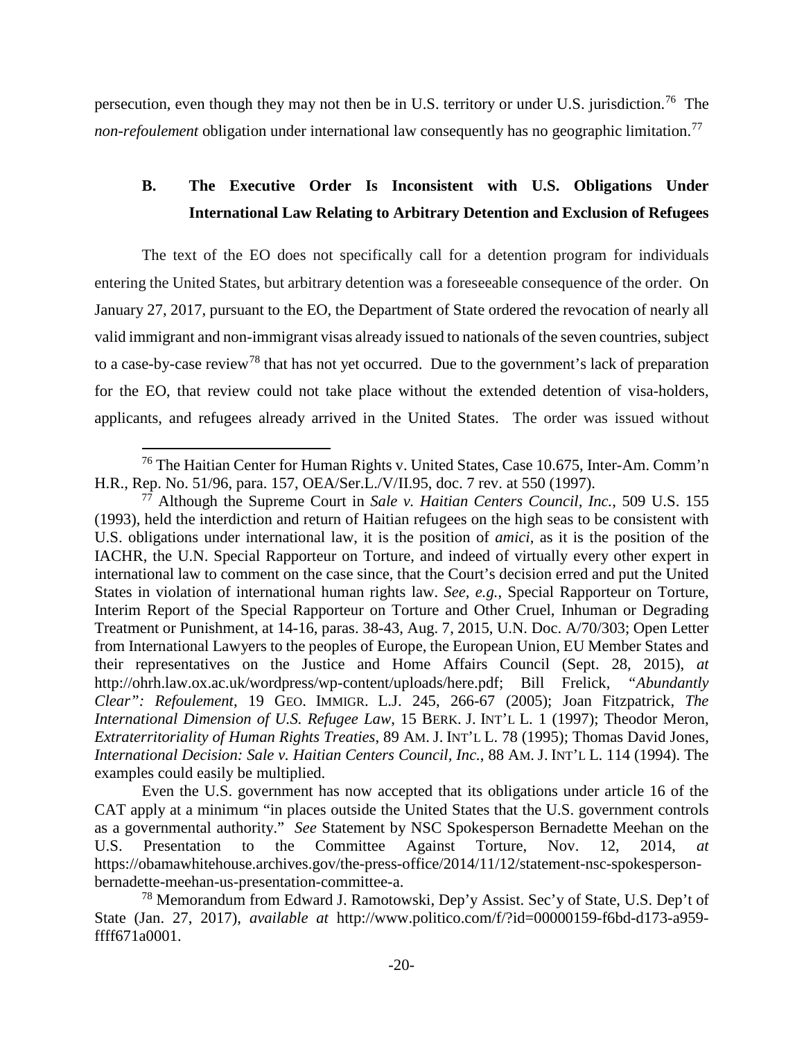persecution, even though they may not then be in U.S. territory or under U.S. jurisdiction.<sup>[76](#page-28-3)</sup> The *non-refoulement* obligation under international law consequently has no geographic limitation.<sup>[77](#page-28-4)</sup>

# <span id="page-28-0"></span>**B. The Executive Order Is Inconsistent with U.S. Obligations Under International Law Relating to Arbitrary Detention and Exclusion of Refugees**

The text of the EO does not specifically call for a detention program for individuals entering the United States, but arbitrary detention was a foreseeable consequence of the order. On January 27, 2017, pursuant to the EO, the Department of State ordered the revocation of nearly all valid immigrant and non-immigrant visas already issued to nationals of the seven countries, subject to a case-by-case review[78](#page-28-5) that has not yet occurred. Due to the government's lack of preparation for the EO, that review could not take place without the extended detention of visa-holders, applicants, and refugees already arrived in the United States. The order was issued without

Even the U.S. government has now accepted that its obligations under article 16 of the CAT apply at a minimum "in places outside the United States that the U.S. government controls as a governmental authority." *See* Statement by NSC Spokesperson Bernadette Meehan on the U.S. Presentation to the Committee Against Torture, Nov. 12, 2014, https://obamawhitehouse.archives.gov/the-press-office/2014/11/12/statement-nsc-spokespersonbernadette-meehan-us-presentation-committee-a.

<span id="page-28-3"></span><span id="page-28-1"></span> <sup>76</sup> The Haitian Center for Human Rights v. United States, Case 10.675, Inter-Am. Comm'n H.R., Rep. No. 51/96, para. 157, OEA/Ser.L./V/II.95, doc. 7 rev. at 550 (1997).

<span id="page-28-4"></span><span id="page-28-2"></span> $7\overline{7}$  Although the Supreme Court in *Sale v. Haitian Centers Council, Inc.*, 509 U.S. 155 (1993), held the interdiction and return of Haitian refugees on the high seas to be consistent with U.S. obligations under international law, it is the position of *amici*, as it is the position of the IACHR, the U.N. Special Rapporteur on Torture, and indeed of virtually every other expert in international law to comment on the case since, that the Court's decision erred and put the United States in violation of international human rights law. *See, e.g.*, Special Rapporteur on Torture, Interim Report of the Special Rapporteur on Torture and Other Cruel, Inhuman or Degrading Treatment or Punishment, at 14-16, paras. 38-43, Aug. 7, 2015, U.N. Doc. A/70/303; Open Letter from International Lawyers to the peoples of Europe, the European Union, EU Member States and their representatives on the Justice and Home Affairs Council (Sept. 28, 2015), *at*  http://ohrh.law.ox.ac.uk/wordpress/wp-content/uploads/here.pdf; Bill Frelick, *"Abundantly Clear": Refoulement*, 19 GEO. IMMIGR. L.J. 245, 266-67 (2005); Joan Fitzpatrick, *The International Dimension of U.S. Refugee Law*, 15 BERK. J. INT'L L. 1 (1997); Theodor Meron, *Extraterritoriality of Human Rights Treaties*, 89 AM. J. INT'L L. 78 (1995); Thomas David Jones, *International Decision: Sale v. Haitian Centers Council, Inc.*, 88 AM. J. INT'L L. 114 (1994). The examples could easily be multiplied.

<span id="page-28-5"></span><sup>78</sup> Memorandum from Edward J. Ramotowski, Dep'y Assist. Sec'y of State, U.S. Dep't of State (Jan. 27, 2017), *available at* http://www.politico.com/f/?id=00000159-f6bd-d173-a959 ffff671a0001.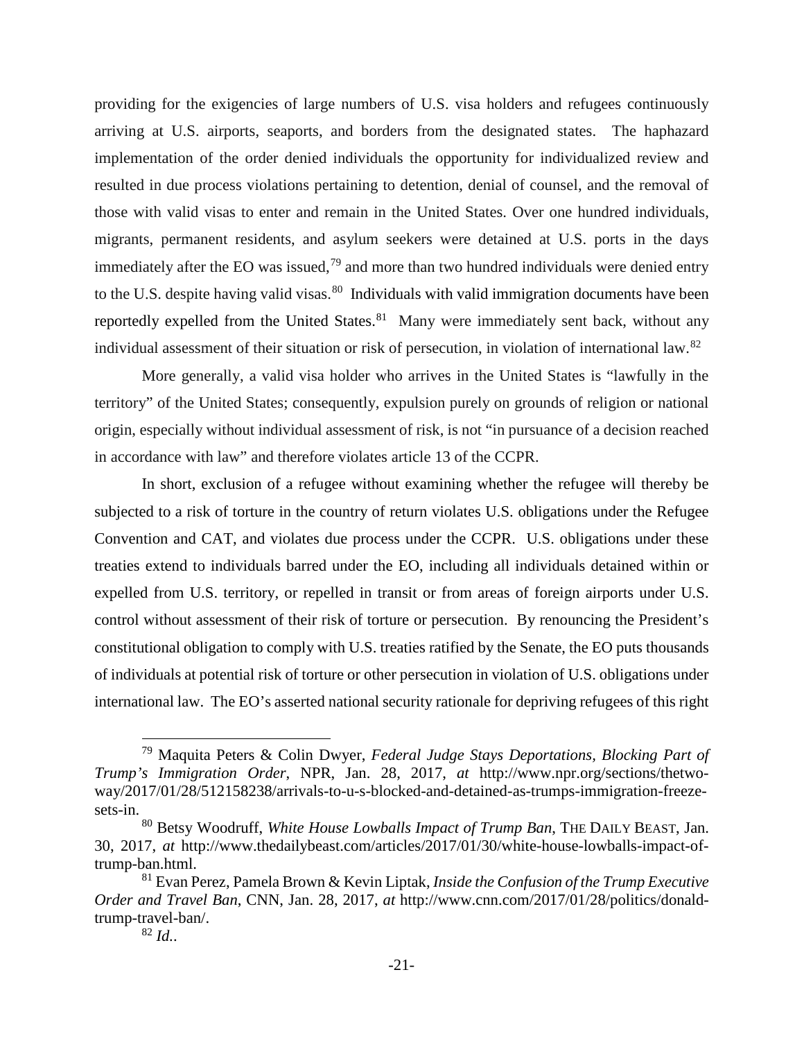providing for the exigencies of large numbers of U.S. visa holders and refugees continuously arriving at U.S. airports, seaports, and borders from the designated states. The haphazard implementation of the order denied individuals the opportunity for individualized review and resulted in due process violations pertaining to detention, denial of counsel, and the removal of those with valid visas to enter and remain in the United States. Over one hundred individuals, migrants, permanent residents, and asylum seekers were detained at U.S. ports in the days immediately after the EO was issued,<sup>[79](#page-29-3)</sup> and more than two hundred individuals were denied entry to the U.S. despite having valid visas.<sup>[80](#page-29-4)</sup> Individuals with valid immigration documents have been reportedly expelled from the United States. $81$  Many were immediately sent back, without any individual assessment of their situation or risk of persecution, in violation of international law. [82](#page-29-6)

More generally, a valid visa holder who arrives in the United States is "lawfully in the territory" of the United States; consequently, expulsion purely on grounds of religion or national origin, especially without individual assessment of risk, is not "in pursuance of a decision reached in accordance with law" and therefore violates article 13 of the CCPR.

In short, exclusion of a refugee without examining whether the refugee will thereby be subjected to a risk of torture in the country of return violates U.S. obligations under the Refugee Convention and CAT, and violates due process under the CCPR. U.S. obligations under these treaties extend to individuals barred under the EO, including all individuals detained within or expelled from U.S. territory, or repelled in transit or from areas of foreign airports under U.S. control without assessment of their risk of torture or persecution. By renouncing the President's constitutional obligation to comply with U.S. treaties ratified by the Senate, the EO puts thousands of individuals at potential risk of torture or other persecution in violation of U.S. obligations under international law. The EO's asserted national security rationale for depriving refugees of this right

<span id="page-29-3"></span><span id="page-29-1"></span> <sup>79</sup> Maquita Peters & Colin Dwyer, *Federal Judge Stays Deportations, Blocking Part of Trump's Immigration Order*, NPR, Jan. 28, 2017, *at* http://www.npr.org/sections/thetwoway/2017/01/28/512158238/arrivals-to-u-s-blocked-and-detained-as-trumps-immigration-freezesets-in.

<span id="page-29-4"></span><span id="page-29-2"></span><sup>80</sup> Betsy Woodruff, *White House Lowballs Impact of Trump Ban*, THE DAILY BEAST, Jan. 30, 2017, *at* http://www.thedailybeast.com/articles/2017/01/30/white-house-lowballs-impact-oftrump-ban.html.

<span id="page-29-6"></span><span id="page-29-5"></span><span id="page-29-0"></span><sup>81</sup> Evan Perez, Pamela Brown & Kevin Liptak, *Inside the Confusion of the Trump Executive Order and Travel Ban*, CNN, Jan. 28, 2017, *at* http://www.cnn.com/2017/01/28/politics/donaldtrump-travel-ban/.

<sup>82</sup> *Id.*.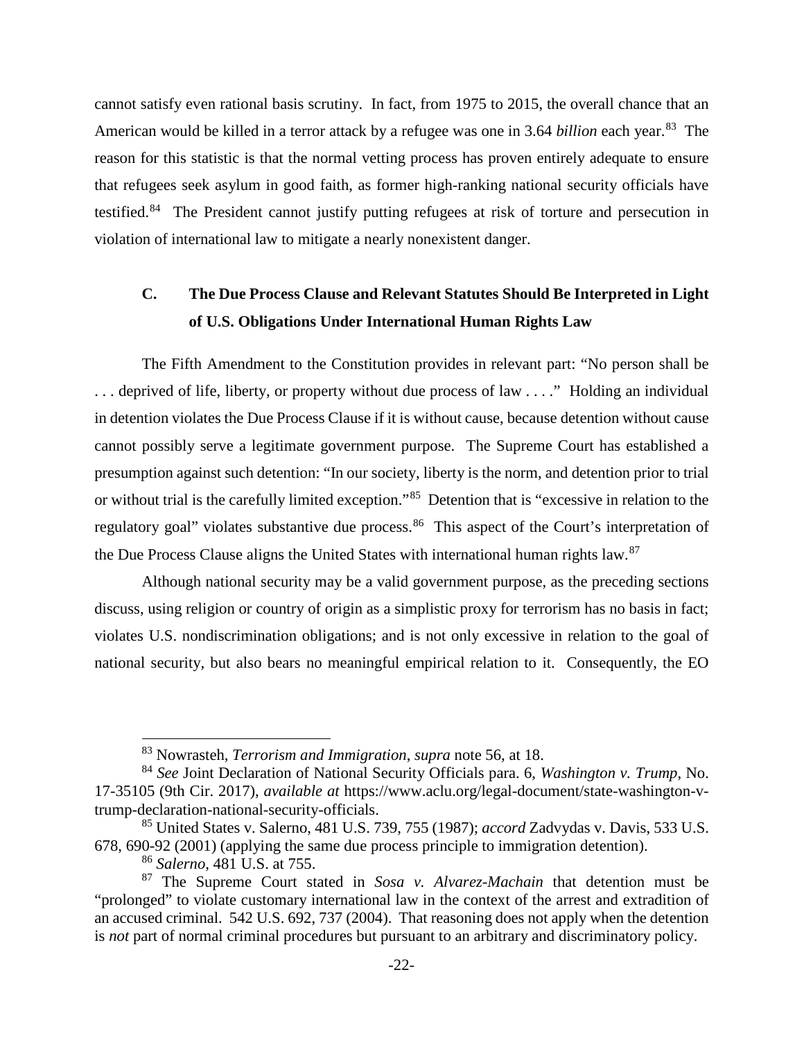cannot satisfy even rational basis scrutiny. In fact, from 1975 to 2015, the overall chance that an American would be killed in a terror attack by a refugee was one in 3.64 *billion* each year.<sup>[83](#page-30-5)</sup> The reason for this statistic is that the normal vetting process has proven entirely adequate to ensure that refugees seek asylum in good faith, as former high-ranking national security officials have testified.<sup>[84](#page-30-6)</sup> The President cannot justify putting refugees at risk of torture and persecution in violation of international law to mitigate a nearly nonexistent danger.

# <span id="page-30-0"></span>**C. The Due Process Clause and Relevant Statutes Should Be Interpreted in Light of U.S. Obligations Under International Human Rights Law**

The Fifth Amendment to the Constitution provides in relevant part: "No person shall be . . . deprived of life, liberty, or property without due process of law . . . ." Holding an individual in detention violates the Due Process Clause if it is without cause, because detention without cause cannot possibly serve a legitimate government purpose. The Supreme Court has established a presumption against such detention: "In our society, liberty is the norm, and detention prior to trial or without trial is the carefully limited exception."[85](#page-30-7) Detention that is "excessive in relation to the regulatory goal" violates substantive due process.<sup>86</sup> This aspect of the Court's interpretation of the Due Process Clause aligns the United States with international human rights law.[87](#page-30-9)

Although national security may be a valid government purpose, as the preceding sections discuss, using religion or country of origin as a simplistic proxy for terrorism has no basis in fact; violates U.S. nondiscrimination obligations; and is not only excessive in relation to the goal of national security, but also bears no meaningful empirical relation to it. Consequently, the EO

 <sup>83</sup> Nowrasteh, *Terrorism and Immigration*, *supra* note [56,](#page-22-8) at 18.

<span id="page-30-6"></span><span id="page-30-5"></span><span id="page-30-4"></span><span id="page-30-3"></span><sup>84</sup> *See* Joint Declaration of National Security Officials para. 6, *Washington v. Trump*, No. 17-35105 (9th Cir. 2017), *available at* https://www.aclu.org/legal-document/state-washington-vtrump-declaration-national-security-officials.

<span id="page-30-7"></span><span id="page-30-2"></span><sup>85</sup> United States v. Salerno, 481 U.S. 739, 755 (1987); *accord* Zadvydas v. Davis, 533 U.S. 678, 690-92 (2001) (applying the same due process principle to immigration detention).

<sup>86</sup> *Salerno*, 481 U.S. at 755.

<span id="page-30-9"></span><span id="page-30-8"></span><span id="page-30-1"></span><sup>87</sup> The Supreme Court stated in *Sosa v. Alvarez-Machain* that detention must be "prolonged" to violate customary international law in the context of the arrest and extradition of an accused criminal. 542 U.S. 692, 737 (2004). That reasoning does not apply when the detention is *not* part of normal criminal procedures but pursuant to an arbitrary and discriminatory policy.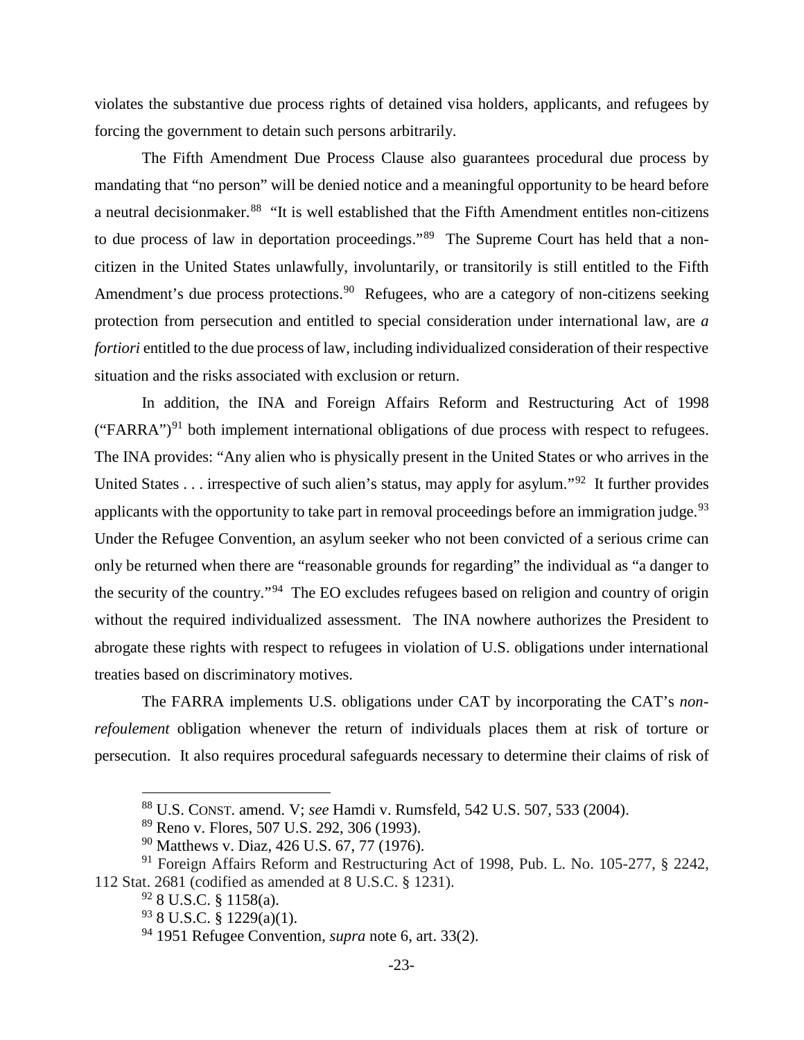violates the substantive due process rights of detained visa holders, applicants, and refugees by forcing the government to detain such persons arbitrarily.

The Fifth Amendment Due Process Clause also guarantees procedural due process by mandating that "no person" will be denied notice and a meaningful opportunity to be heard before a neutral decisionmaker.[88](#page-31-7) "It is well established that the Fifth Amendment entitles non-citizens to due process of law in deportation proceedings."<sup>89</sup> The Supreme Court has held that a noncitizen in the United States unlawfully, involuntarily, or transitorily is still entitled to the Fifth Amendment's due process protections.<sup>[90](#page-31-9)</sup> Refugees, who are a category of non-citizens seeking protection from persecution and entitled to special consideration under international law, are *a fortiori* entitled to the due process of law, including individualized consideration of their respective situation and the risks associated with exclusion or return.

In addition, the INA and Foreign Affairs Reform and Restructuring Act of 1998 ("FARRA")<sup>[91](#page-31-10)</sup> both implement international obligations of due process with respect to refugees. The INA provides: "Any alien who is physically present in the United States or who arrives in the United States . . . irrespective of such alien's status, may apply for asylum."<sup>[92](#page-31-11)</sup> It further provides applicants with the opportunity to take part in removal proceedings before an immigration judge.<sup>[93](#page-31-12)</sup> Under the Refugee Convention, an asylum seeker who not been convicted of a serious crime can only be returned when there are "reasonable grounds for regarding" the individual as "a danger to the security of the country."[94](#page-31-13) The EO excludes refugees based on religion and country of origin without the required individualized assessment. The INA nowhere authorizes the President to abrogate these rights with respect to refugees in violation of U.S. obligations under international treaties based on discriminatory motives.

The FARRA implements U.S. obligations under CAT by incorporating the CAT's *nonrefoulement* obligation whenever the return of individuals places them at risk of torture or persecution. It also requires procedural safeguards necessary to determine their claims of risk of

<span id="page-31-0"></span> <sup>88</sup> U.S. CONST. amend. V; *see* Hamdi v. Rumsfeld, 542 U.S. 507, 533 (2004).

<sup>89</sup> Reno v. Flores, 507 U.S. 292, 306 (1993).

<sup>90</sup> Matthews v. Diaz, 426 U.S. 67, 77 (1976).

<span id="page-31-13"></span><span id="page-31-12"></span><span id="page-31-11"></span><span id="page-31-10"></span><span id="page-31-9"></span><span id="page-31-8"></span><span id="page-31-7"></span><span id="page-31-5"></span><span id="page-31-3"></span><span id="page-31-2"></span><span id="page-31-1"></span><sup>91</sup> Foreign Affairs Reform and Restructuring Act of 1998, Pub. L. No. 105-277, § 2242, 112 Stat. 2681 (codified as amended at 8 U.S.C. § 1231).

 $92$  8 U.S.C. § 1158(a).

<span id="page-31-4"></span><sup>93</sup> 8 U.S.C. § 1229(a)(1).

<span id="page-31-6"></span><sup>94</sup> 1951 Refugee Convention, *supra* note [6,](#page-11-10) art. 33(2).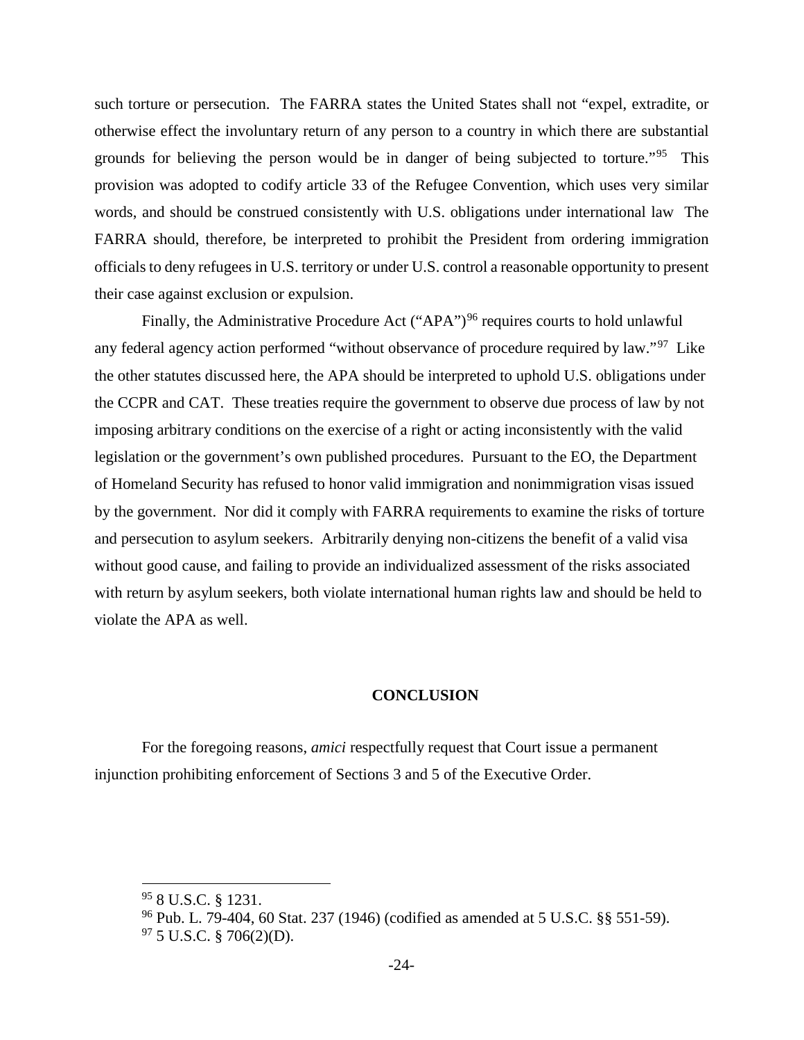such torture or persecution. The FARRA states the United States shall not "expel, extradite, or otherwise effect the involuntary return of any person to a country in which there are substantial grounds for believing the person would be in danger of being subjected to torture."<sup>[95](#page-32-2)</sup> This provision was adopted to codify article 33 of the Refugee Convention, which uses very similar words, and should be construed consistently with U.S. obligations under international law The FARRA should, therefore, be interpreted to prohibit the President from ordering immigration officials to deny refugees in U.S. territory or under U.S. control a reasonable opportunity to present their case against exclusion or expulsion.

Finally, the Administrative Procedure Act ("APA")<sup>[96](#page-32-3)</sup> requires courts to hold unlawful any federal agency action performed "without observance of procedure required by law."<sup>[97](#page-32-4)</sup> Like the other statutes discussed here, the APA should be interpreted to uphold U.S. obligations under the CCPR and CAT. These treaties require the government to observe due process of law by not imposing arbitrary conditions on the exercise of a right or acting inconsistently with the valid legislation or the government's own published procedures. Pursuant to the EO, the Department of Homeland Security has refused to honor valid immigration and nonimmigration visas issued by the government. Nor did it comply with FARRA requirements to examine the risks of torture and persecution to asylum seekers. Arbitrarily denying non-citizens the benefit of a valid visa without good cause, and failing to provide an individualized assessment of the risks associated with return by asylum seekers, both violate international human rights law and should be held to violate the APA as well.

### **CONCLUSION**

<span id="page-32-0"></span>For the foregoing reasons, *amici* respectfully request that Court issue a permanent injunction prohibiting enforcement of Sections 3 and 5 of the Executive Order.

<span id="page-32-2"></span> $95$  8 U.S.C. § 1231.

<span id="page-32-3"></span><sup>96</sup> Pub. L. 79-404, 60 Stat. 237 (1946) (codified as amended at 5 U.S.C. §§ 551-59).

<span id="page-32-4"></span><span id="page-32-1"></span> $97$  5 U.S.C. § 706(2)(D).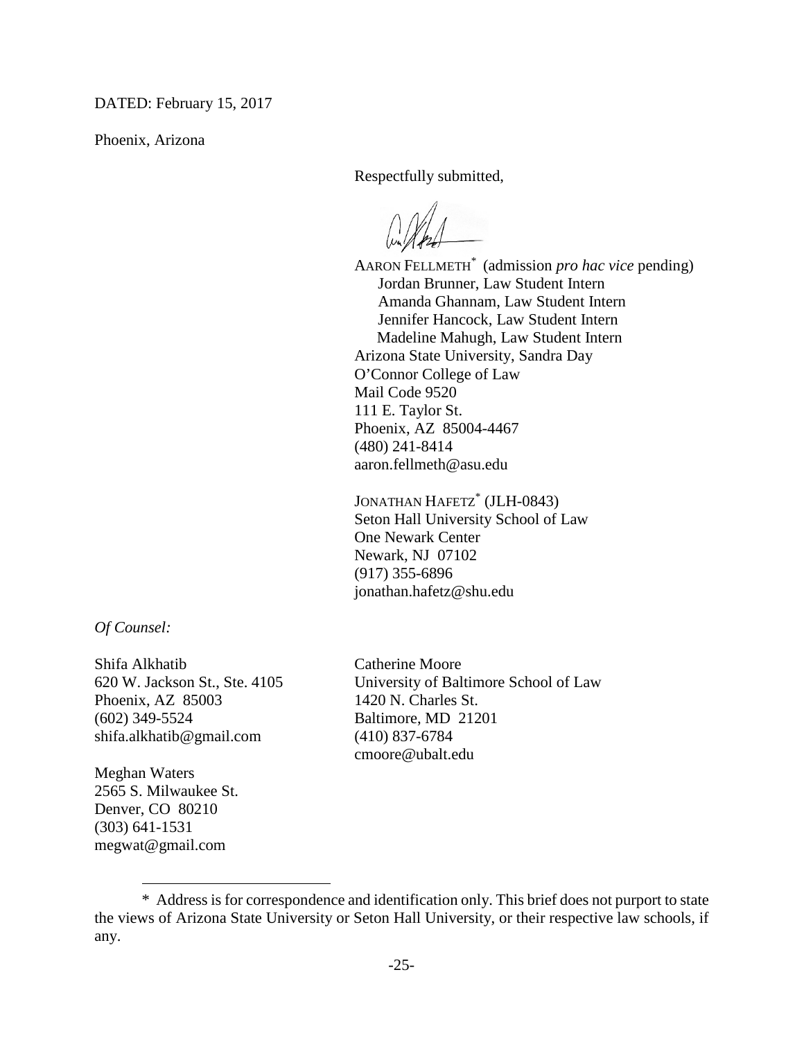DATED: February 15, 2017

Phoenix, Arizona

Respectfully submitted,

AARON FELLMETH<sup>\*</sup> (admission *pro hac vice* pending) Jordan Brunner, Law Student Intern Amanda Ghannam, Law Student Intern Jennifer Hancock, Law Student Intern Madeline Mahugh, Law Student Intern Arizona State University, Sandra Day O'Connor College of Law Mail Code 9520 111 E. Taylor St. Phoenix, AZ 85004-4467 (480) 241-8414 aaron.fellmeth@asu.edu

JONATHAN HAFETZ<sup>\*</sup> (JLH-0843) Seton Hall University School of Law One Newark Center Newark, NJ 07102 (917) 355-6896 jonathan.hafetz@shu.edu

*Of Counsel:*

Shifa Alkhatib Catherine Moore Phoenix, AZ 85003 1420 N. Charles St. (602) 349-5524 Baltimore, MD 21201 shifa.alkhatib@gmail.com (410) 837-6784

Meghan Waters 2565 S. Milwaukee St. Denver, CO 80210 (303) 641-1531 megwat@gmail.com

 $\overline{a}$ 

620 W. Jackson St., Ste. 4105 University of Baltimore School of Law cmoore@ubalt.edu

<span id="page-33-0"></span><sup>\*98</sup>Address is for correspondence and identification only. This brief does not purport to state the views of Arizona State University or Seton Hall University, or their respective law schools, if any.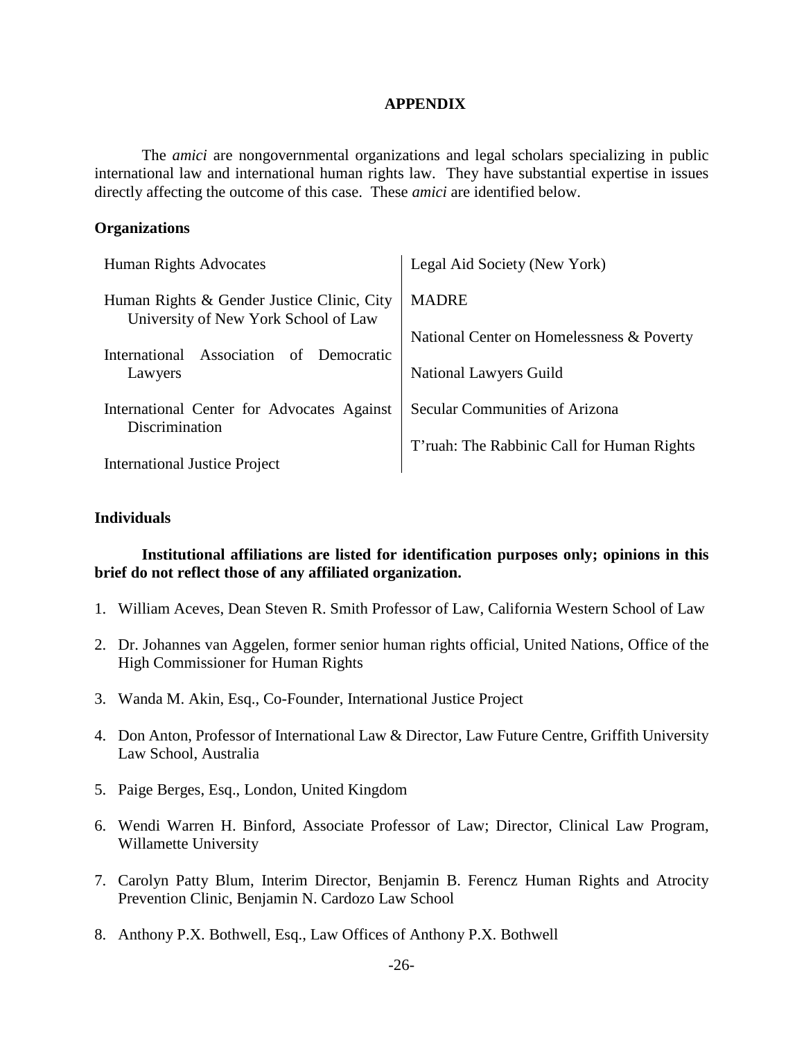### **APPENDIX**

<span id="page-34-0"></span>The *amici* are nongovernmental organizations and legal scholars specializing in public international law and international human rights law. They have substantial expertise in issues directly affecting the outcome of this case. These *amici* are identified below.

### **Organizations**

| Human Rights Advocates                                                                                                                            | Legal Aid Society (New York)               |
|---------------------------------------------------------------------------------------------------------------------------------------------------|--------------------------------------------|
| Human Rights & Gender Justice Clinic, City<br>University of New York School of Law<br>Association<br>International<br>of<br>Democratic<br>Lawyers | <b>MADRE</b>                               |
|                                                                                                                                                   | National Center on Homelessness & Poverty  |
|                                                                                                                                                   | <b>National Lawyers Guild</b>              |
| International Center for Advocates Against<br>Discrimination                                                                                      | Secular Communities of Arizona             |
| <b>International Justice Project</b>                                                                                                              | T'ruah: The Rabbinic Call for Human Rights |

### **Individuals**

### **Institutional affiliations are listed for identification purposes only; opinions in this brief do not reflect those of any affiliated organization.**

- 1. William Aceves, Dean Steven R. Smith Professor of Law, California Western School of Law
- 2. Dr. Johannes van Aggelen, former senior human rights official, United Nations, Office of the High Commissioner for Human Rights
- 3. Wanda M. Akin, Esq., Co-Founder, International Justice Project
- 4. Don Anton, Professor of International Law & Director, Law Future Centre, Griffith University Law School, Australia
- 5. Paige Berges, Esq., London, United Kingdom
- 6. Wendi Warren H. Binford, Associate Professor of Law; Director, Clinical Law Program, Willamette University
- 7. Carolyn Patty Blum, Interim Director, Benjamin B. Ferencz Human Rights and Atrocity Prevention Clinic, Benjamin N. Cardozo Law School
- 8. Anthony P.X. Bothwell, Esq., Law Offices of Anthony P.X. Bothwell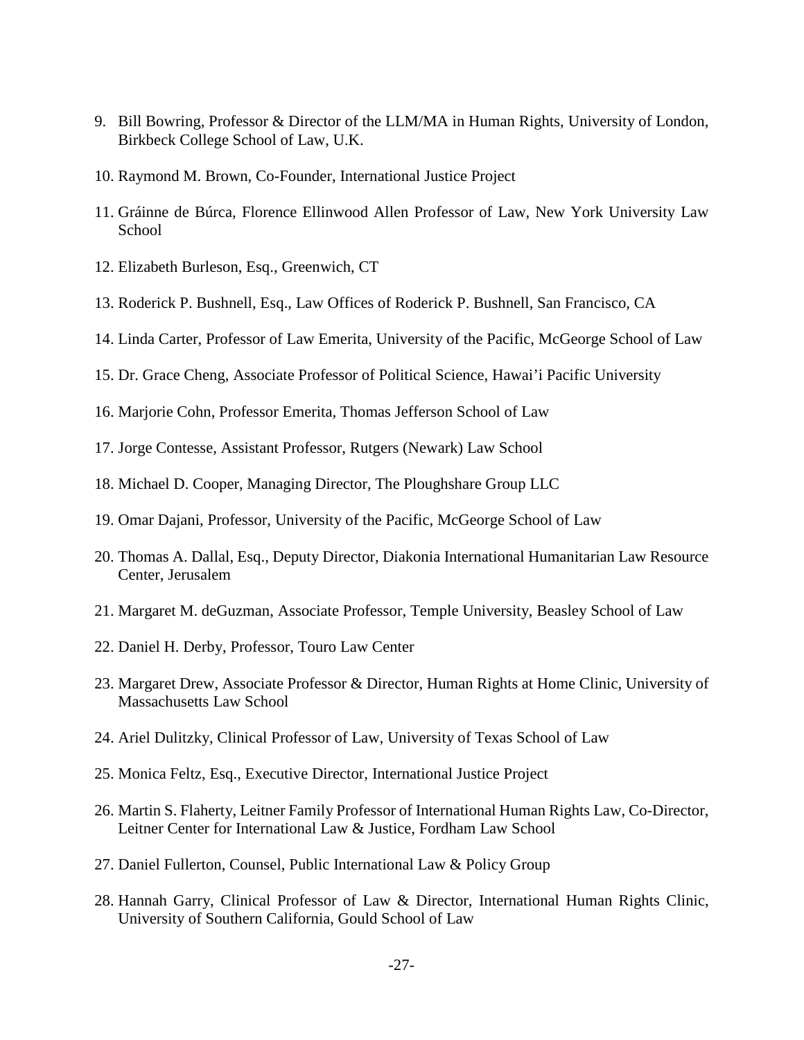- 9. Bill Bowring, Professor & Director of the LLM/MA in Human Rights, University of London, Birkbeck College School of Law, U.K.
- 10. Raymond M. Brown, Co-Founder, International Justice Project
- 11. Gráinne de Búrca, Florence Ellinwood Allen Professor of Law, New York University Law School
- 12. Elizabeth Burleson, Esq., Greenwich, CT
- 13. Roderick P. Bushnell, Esq., Law Offices of Roderick P. Bushnell, San Francisco, CA
- 14. Linda Carter, Professor of Law Emerita, University of the Pacific, McGeorge School of Law
- 15. Dr. Grace Cheng, Associate Professor of Political Science, Hawai'i Pacific University
- 16. Marjorie Cohn, Professor Emerita, Thomas Jefferson School of Law
- 17. Jorge Contesse, Assistant Professor, Rutgers (Newark) Law School
- 18. Michael D. Cooper, Managing Director, The Ploughshare Group LLC
- 19. Omar Dajani, Professor, University of the Pacific, McGeorge School of Law
- 20. Thomas A. Dallal, Esq., Deputy Director, Diakonia International Humanitarian Law Resource Center, Jerusalem
- 21. Margaret M. deGuzman, Associate Professor, Temple University, Beasley School of Law
- 22. Daniel H. Derby, Professor, Touro Law Center
- 23. Margaret Drew, Associate Professor & Director, Human Rights at Home Clinic, University of Massachusetts Law School
- 24. Ariel Dulitzky, Clinical Professor of Law, University of Texas School of Law
- 25. Monica Feltz, Esq., Executive Director, International Justice Project
- 26. Martin S. Flaherty, Leitner Family Professor of International Human Rights Law, Co-Director, Leitner Center for International Law & Justice, Fordham Law School
- 27. Daniel Fullerton, Counsel, Public International Law & Policy Group
- 28. Hannah Garry, Clinical Professor of Law & Director, International Human Rights Clinic, University of Southern California, Gould School of Law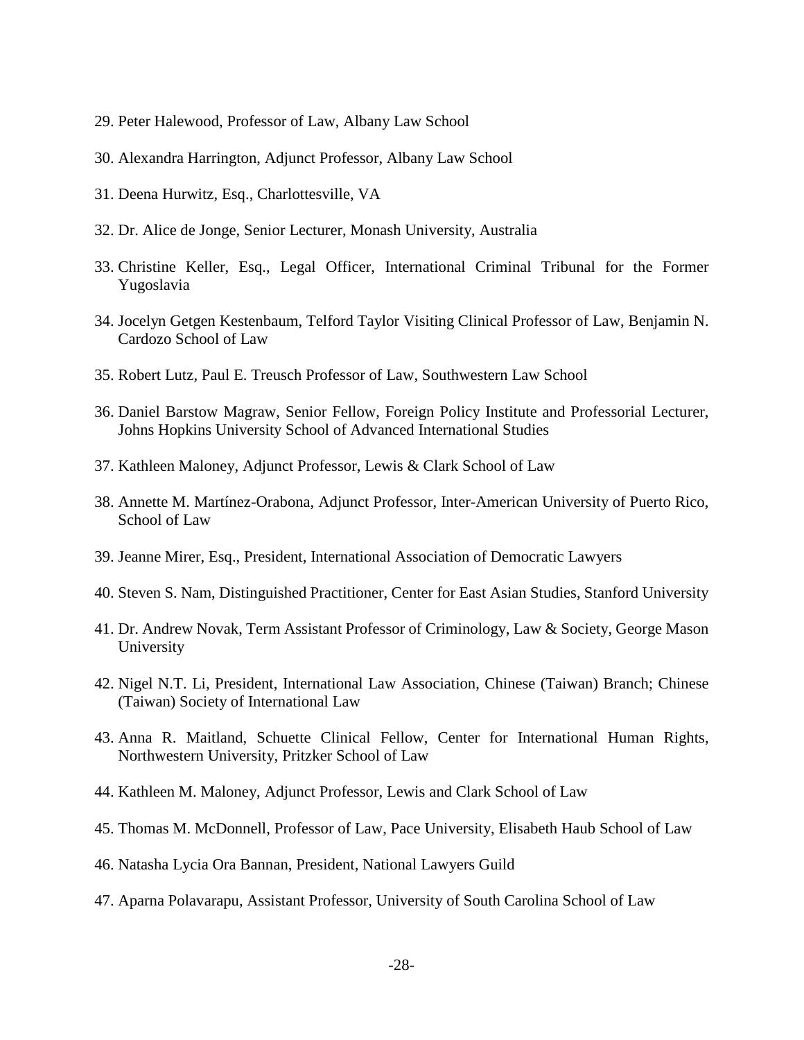- 29. Peter Halewood, Professor of Law, Albany Law School
- 30. Alexandra Harrington, Adjunct Professor, Albany Law School
- 31. Deena Hurwitz, Esq., Charlottesville, VA
- 32. Dr. Alice de Jonge, Senior Lecturer, Monash University, Australia
- 33. Christine Keller, Esq., Legal Officer, International Criminal Tribunal for the Former Yugoslavia
- 34. Jocelyn Getgen Kestenbaum, Telford Taylor Visiting Clinical Professor of Law, Benjamin N. Cardozo School of Law
- 35. Robert Lutz, Paul E. Treusch Professor of Law, Southwestern Law School
- 36. Daniel Barstow Magraw, Senior Fellow, Foreign Policy Institute and Professorial Lecturer, Johns Hopkins University School of Advanced International Studies
- 37. Kathleen Maloney, Adjunct Professor, Lewis & Clark School of Law
- 38. Annette M. Martínez-Orabona, Adjunct Professor, Inter-American University of Puerto Rico, School of Law
- 39. Jeanne Mirer, Esq., President, International Association of Democratic Lawyers
- 40. Steven S. Nam, Distinguished Practitioner, Center for East Asian Studies, Stanford University
- 41. Dr. Andrew Novak, Term Assistant Professor of Criminology, Law & Society, George Mason University
- 42. Nigel N.T. Li, President, International Law Association, Chinese (Taiwan) Branch; Chinese (Taiwan) Society of International Law
- 43. Anna R. Maitland, Schuette Clinical Fellow, Center for International Human Rights, Northwestern University, Pritzker School of Law
- 44. Kathleen M. Maloney, Adjunct Professor, Lewis and Clark School of Law
- 45. Thomas M. McDonnell, Professor of Law, Pace University, Elisabeth Haub School of Law
- 46. Natasha Lycia Ora Bannan, President, National Lawyers Guild
- 47. Aparna Polavarapu, Assistant Professor, University of South Carolina School of Law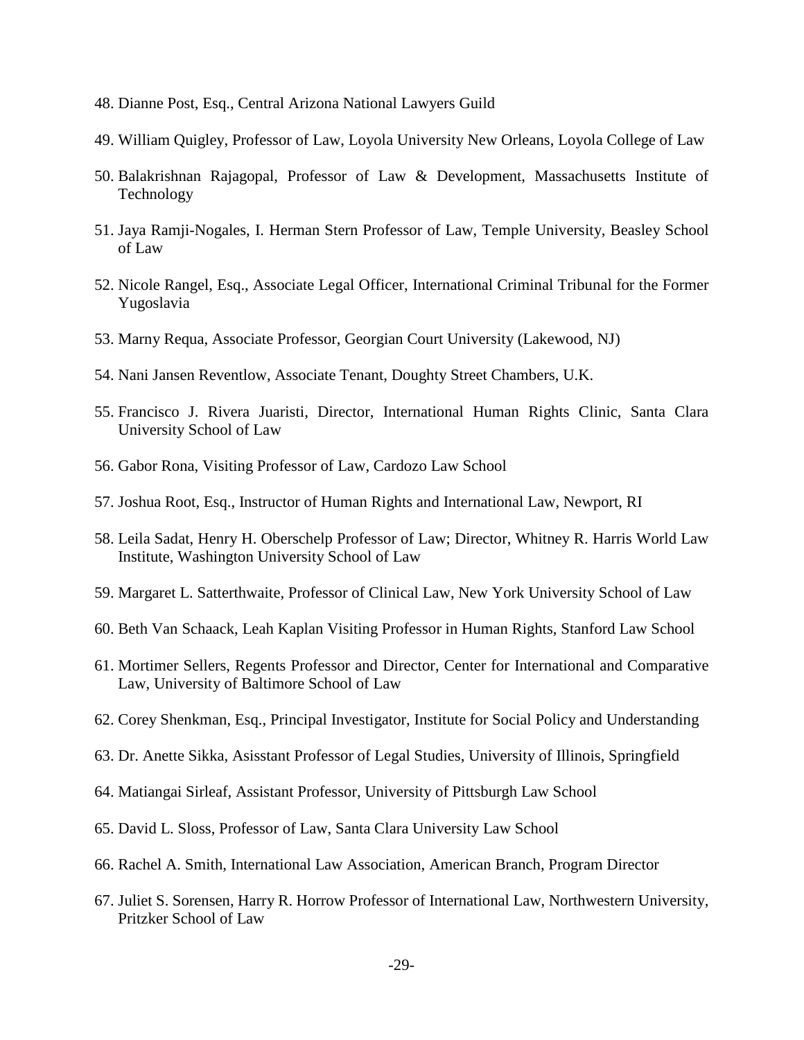- 48. Dianne Post, Esq., Central Arizona National Lawyers Guild
- 49. William Quigley, Professor of Law, Loyola University New Orleans, Loyola College of Law
- 50. Balakrishnan Rajagopal, Professor of Law & Development, Massachusetts Institute of Technology
- 51. Jaya Ramji-Nogales, I. Herman Stern Professor of Law, Temple University, Beasley School of Law
- 52. Nicole Rangel, Esq., Associate Legal Officer, International Criminal Tribunal for the Former Yugoslavia
- 53. Marny Requa, Associate Professor, Georgian Court University (Lakewood, NJ)
- 54. Nani Jansen Reventlow, Associate Tenant, Doughty Street Chambers, U.K.
- 55. Francisco J. Rivera Juaristi, Director, International Human Rights Clinic, Santa Clara University School of Law
- 56. Gabor Rona, Visiting Professor of Law, Cardozo Law School
- 57. Joshua Root, Esq., Instructor of Human Rights and International Law, Newport, RI
- 58. Leila Sadat, Henry H. Oberschelp Professor of Law; Director, Whitney R. Harris World Law Institute, Washington University School of Law
- 59. Margaret L. Satterthwaite, Professor of Clinical Law, New York University School of Law
- 60. Beth Van Schaack, Leah Kaplan Visiting Professor in Human Rights, Stanford Law School
- 61. Mortimer Sellers, Regents Professor and Director, Center for International and Comparative Law, University of Baltimore School of Law
- 62. Corey Shenkman, Esq., Principal Investigator, Institute for Social Policy and Understanding
- 63. Dr. Anette Sikka, Asisstant Professor of Legal Studies, University of Illinois, Springfield
- 64. Matiangai Sirleaf, Assistant Professor, University of Pittsburgh Law School
- 65. David L. Sloss, Professor of Law, Santa Clara University Law School
- 66. Rachel A. Smith, International Law Association, American Branch, Program Director
- 67. Juliet S. Sorensen, Harry R. Horrow Professor of International Law, Northwestern University, Pritzker School of Law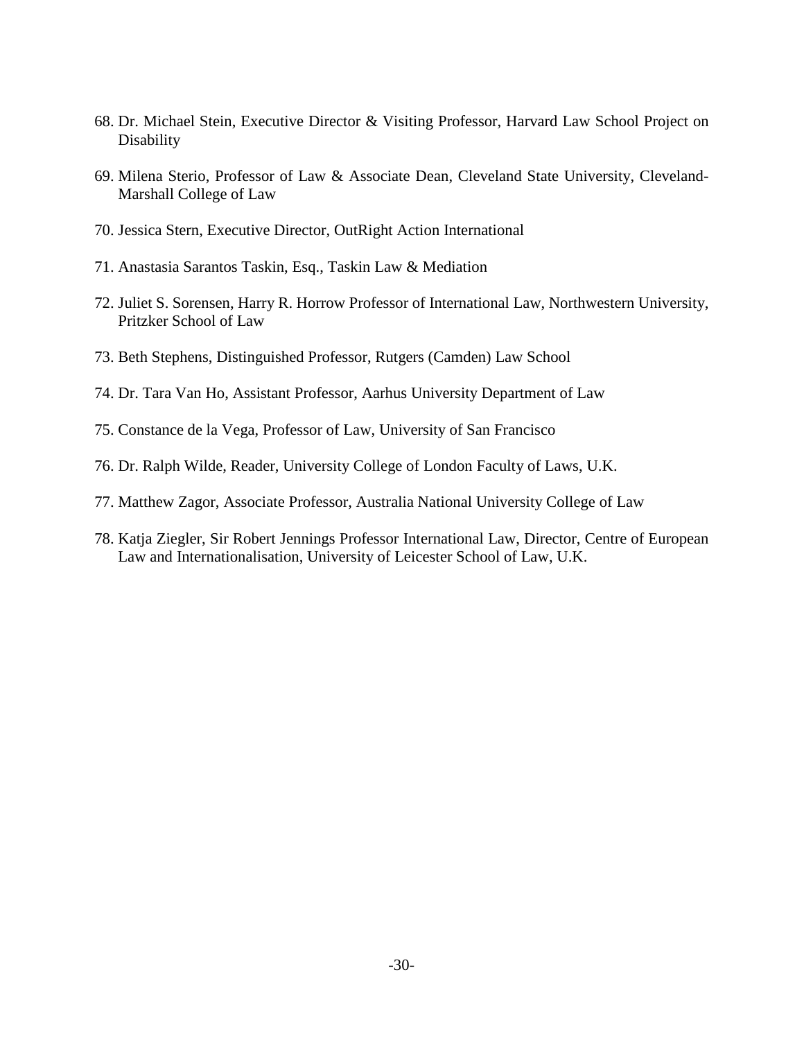- 68. Dr. Michael Stein, Executive Director & Visiting Professor, Harvard Law School Project on **Disability**
- 69. Milena Sterio, Professor of Law & Associate Dean, Cleveland State University, Cleveland-Marshall College of Law
- 70. Jessica Stern, Executive Director, OutRight Action International
- 71. Anastasia Sarantos Taskin, Esq., Taskin Law & Mediation
- 72. Juliet S. Sorensen, Harry R. Horrow Professor of International Law, Northwestern University, Pritzker School of Law
- 73. Beth Stephens, Distinguished Professor, Rutgers (Camden) Law School
- 74. Dr. Tara Van Ho, Assistant Professor, Aarhus University Department of Law
- 75. Constance de la Vega, Professor of Law, University of San Francisco
- 76. Dr. Ralph Wilde, Reader, University College of London Faculty of Laws, U.K.
- 77. Matthew Zagor, Associate Professor, Australia National University College of Law
- 78. Katja Ziegler, Sir Robert Jennings Professor International Law, Director, Centre of European Law and Internationalisation, University of Leicester School of Law, U.K.